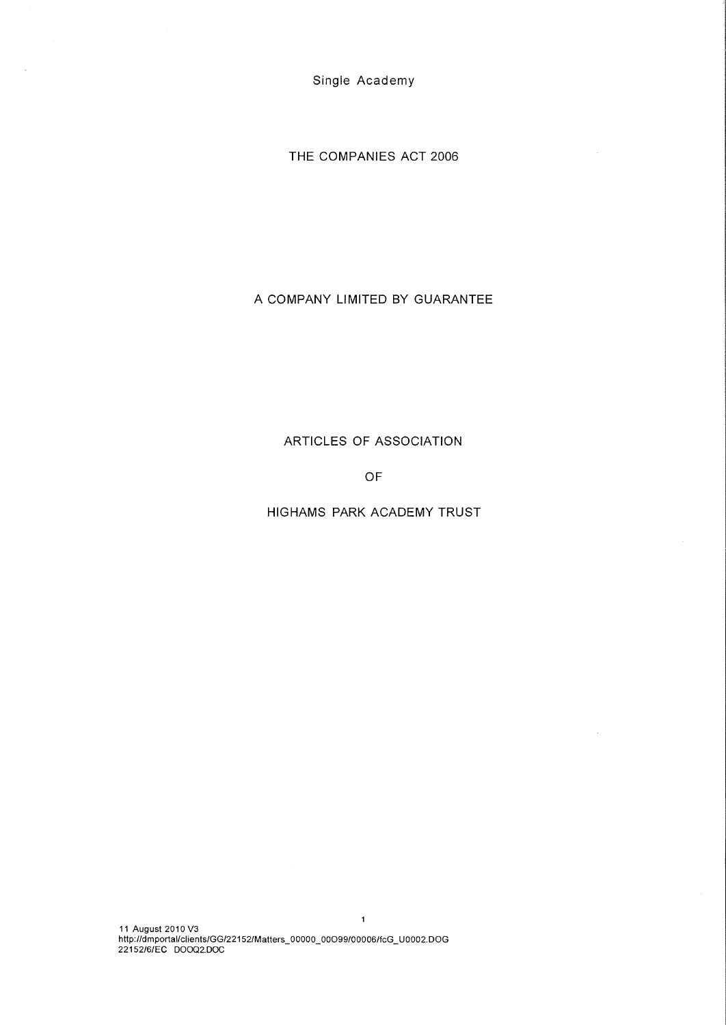THE COMPANIES ACT 2006

# A COMPANY LIMITED BY GUARANTEE

ARTICLES OF ASSOCIATION

OF

HIGHAMS PARK ACADEMY TRUST

 $\bar{z}$ 

11 August 2010 V3 http://dmportal/clients/GG/22152/Matters\_00000\_00099/00006/fcG\_U0002.DOG 22152/6/EC DO0Q2.DOC

i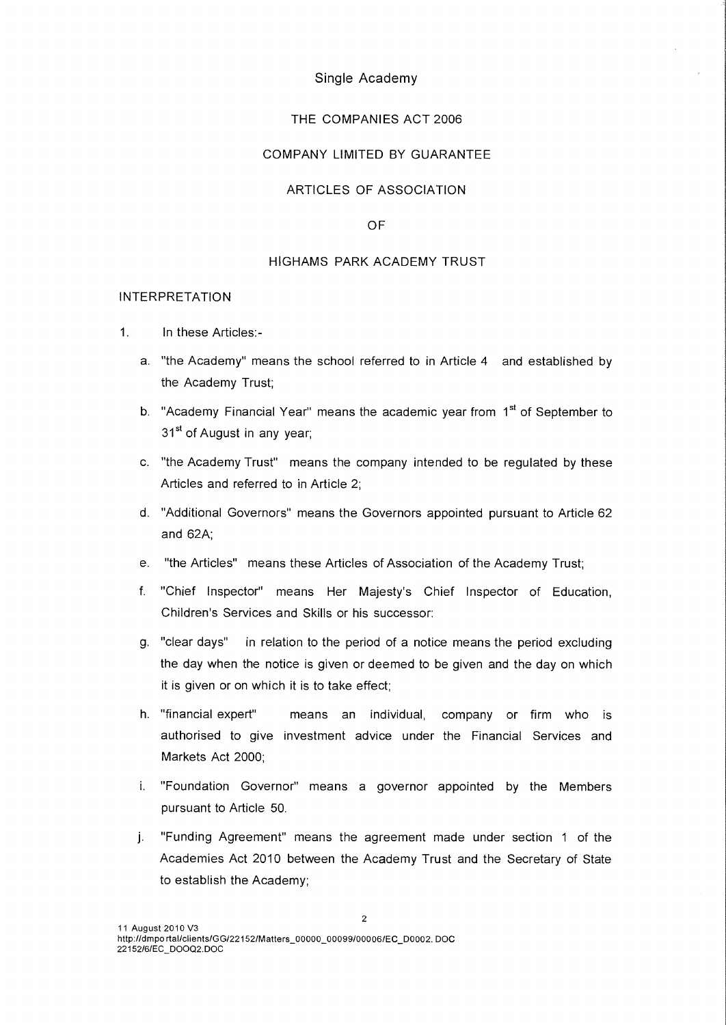## THE COMPANIES ACT 2006

# COMPANY LIMITED BY GUARANTEE

# ARTICLES OF ASSOCIATION

## OF

## HIGHAMS PARK ACADEMY TRUST

#### INTERPRETATION

- 1. In these Articles:
	- a. "the Academy" means the school referred to in Article 4 and established by the Academy Trust;
	- b. "Academy Financial Year" means the academic year from 1<sup>st</sup> of September to 31<sup>st</sup> of August in any year;
	- c. "the Academy Trust" means the company intended to be regulated by these Articles and referred to in Article 2;
	- d. "Additional Governors" means the Governors appointed pursuant to Article 62 and 62A;
	- e. "the Articles" means these Articles of Association of the Academy Trust;
	- f. "Chief Inspector" means Her Majesty's Chief Inspector of Education, Children's Services and Skills or his successor:
	- g. "clear days" in relation to the period of a notice means the period excluding the day when the notice is given or deemed to be given and the day on which it is given or on which it is to take effect;
	- h. "financial expert" means an individual, company or firm who is authorised to give investment advice under the Financial Services and Markets Act 2000;
	- i. "Foundation Governor" means a governor appointed by the Members pursuant to Article 50.
	- .i• "Funding Agreement" means the agreement made under section 1 of the Academies Act 2010 between the Academy Trust and the Secretary of State to establish the Academy;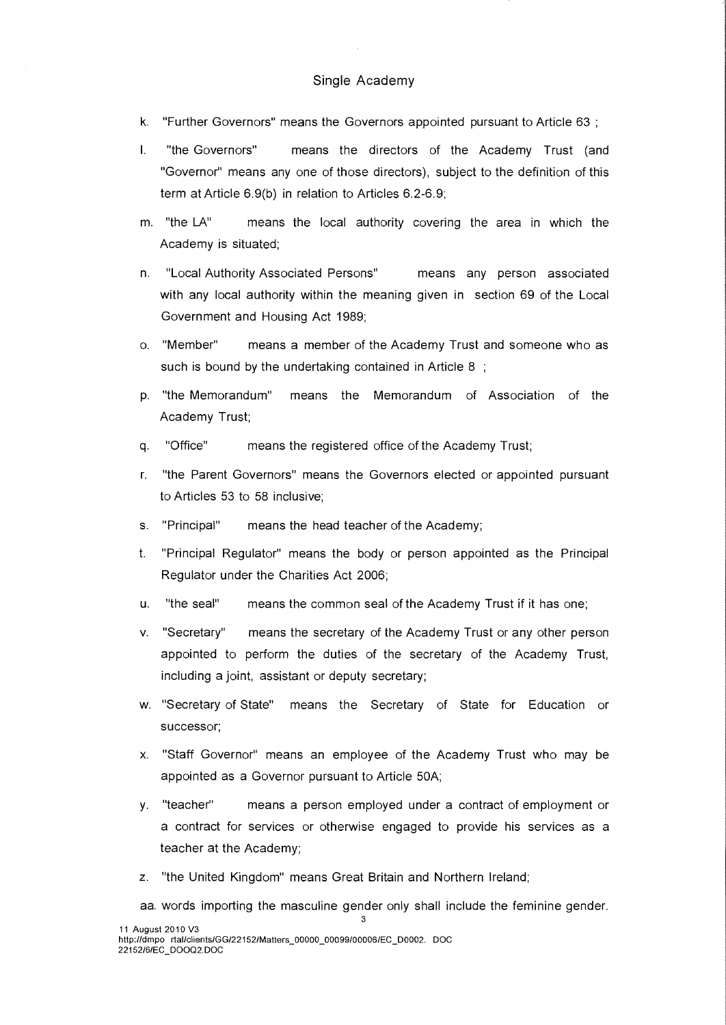- k. "Further Governors" means the Governors appointed pursuant to Article 63 ;
- I. "the Governors" means the directors of the Academy Trust (and "Governor" means any one of those directors), subject to the definition of this term at Article 6.9(b) in relation to Articles 6.2-6.9;
- m. "the LA" means the local authority covering the area in which the Academy is situated;
- n. "Local Authority Associated Persons" means any person associated with any local authority within the meaning given in section 69 of the Local Government and Housing Act 1989;
- o. "Member" means a member of the Academy Trust and someone who as such is bound by the undertaking contained in Article 8 ;
- p. "the Memorandum" means the Memorandum of Association of the Academy Trust;
- q. "Office" means the registered office of the Academy Trust;
- r. "the Parent Governors" means the Governors elected or appointed pursuant to Articles 53 to 58 inclusive;
- s. "Principal" means the head teacher of the Academy;
- t. "Principal Regulator" means the body or person appointed as the Principal Regulator under the Charities Act 2006;
- u. "the seal" means the common seal of the Academy Trust if it has one;
- v. "Secretary" means the secretary of the Academy Trust or any other person appointed to perform the duties of the secretary of the Academy Trust, including a joint, assistant or deputy secretary;
- w. "Secretary of State" means the Secretary of State for Education or successor;
- x. "Staff Governor" means an employee of the Academy Trust who may be appointed as a Governor pursuant to Article 50A;
- y. "teacher" means a person employed under a contract of employment or a contract for services or otherwise engaged to provide his services as a teacher at the Academy;
- z. "the United Kingdom" means Great Britain and Northern Ireland;
- aa. words importing the masculine gender only shall include the feminine gender.

3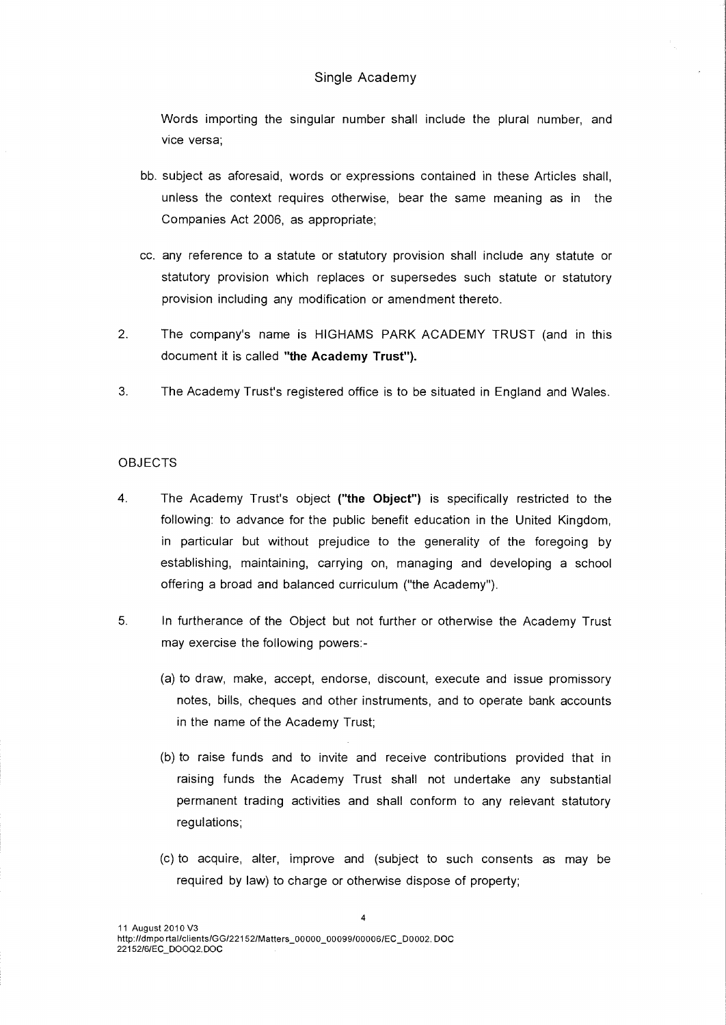Words importing the singular number shall include the plural number, and vice versa;

- bb. subject as aforesaid, words or expressions contained in these Articles shall, unless the context requires otherwise, bear the same meaning as in the Companies Act 2006, as appropriate;
- cc. any reference to a statute or statutory provision shall include any statute or statutory provision which replaces or supersedes such statute or statutory provision including any modification or amendment thereto.
- 2. The company's name is HIGHAMS PARK ACADEMY TRUST (and in this document it is called **"the Academy Trust").**
- 3. The Academy Trust's registered office is to be situated in England and Wales.

#### OBJECTS

- 4. The Academy Trust's object **("the Object")** is specifically restricted to the following: to advance for the public benefit education in the United Kingdom, in particular but without prejudice to the generality of the foregoing by establishing, maintaining, carrying on, managing and developing a school offering a broad and balanced curriculum ("the Academy").
- 5. In furtherance of the Object but not further or otherwise the Academy Trust may exercise the following powers:-
	- (a) to draw, make, accept, endorse, discount, execute and issue promissory notes, bills, cheques and other instruments, and to operate bank accounts in the name of the Academy Trust;
	- (b) to raise funds and to invite and receive contributions provided that in raising funds the Academy Trust shall not undertake any substantial permanent trading activities and shall conform to any relevant statutory regulations;
	- (c) to acquire, alter, improve and (subject to such consents as may be required by law) to charge or otherwise dispose of property;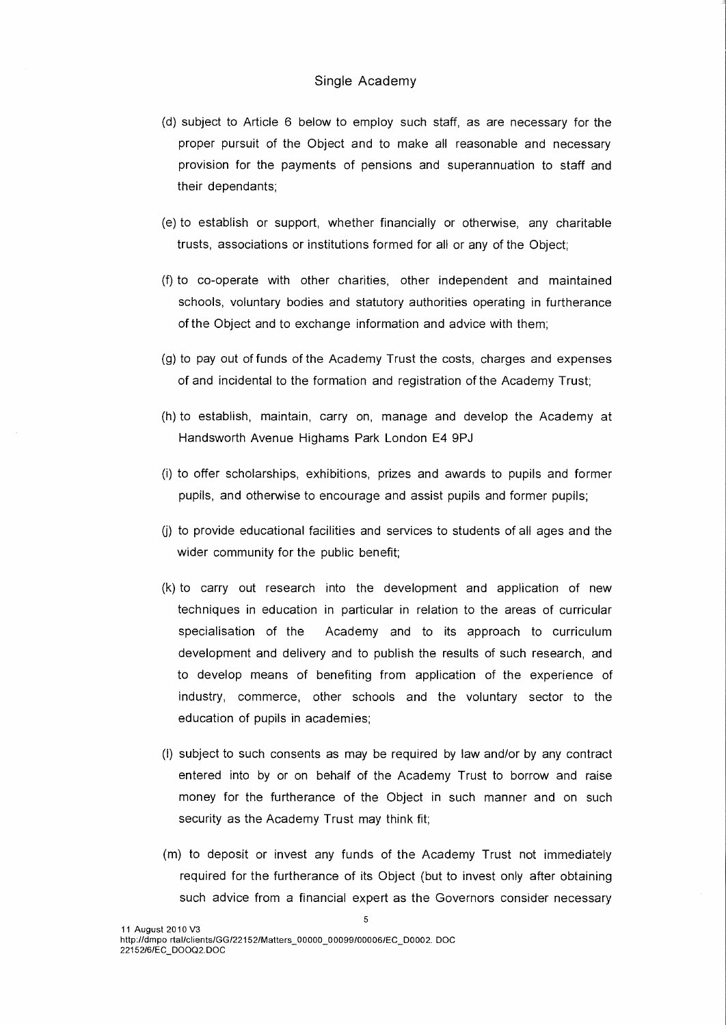- (d) subject to Article 6 below to employ such staff, as are necessary for the proper pursuit of the Object and to make all reasonable and necessary provision for the payments of pensions and superannuation to staff and their dependants;
- (e) to establish or support, whether financially or otherwise, any charitable trusts, associations or institutions formed for all or any of the Object;
- (f) to co-operate with other charities, other independent and maintained schools, voluntary bodies and statutory authorities operating in furtherance of the Object and to exchange information and advice with them;
- (g) to pay out of funds of the Academy Trust the costs, charges and expenses of and incidental to the formation and registration of the Academy Trust;
- (h) to establish, maintain, carry on, manage and develop the Academy at Handsworth Avenue Highams Park London E4 9PJ
- (i) to offer scholarships, exhibitions, prizes and awards to pupils and former pupils, and otherwise to encourage and assist pupils and former pupils;
- (j) to provide educational facilities and services to students of all ages and the wider community for the public benefit;
- (k) to carry out research into the development and application of new techniques in education in particular in relation to the areas of curricular specialisation of the Academy and to its approach to curriculum development and delivery and to publish the results of such research, and to develop means of benefiting from application of the experience of industry, commerce, other schools and the voluntary sector to the education of pupils in academies;
- (I) subject to such consents as may be required by law and/or by any contract entered into by or on behalf of the Academy Trust to borrow and raise money for the furtherance of the Object in such manner and on such security as the Academy Trust may think fit;
- (m) to deposit or invest any funds of the Academy Trust not immediately required for the furtherance of its Object (but to invest only after obtaining such advice from a financial expert as the Governors consider necessary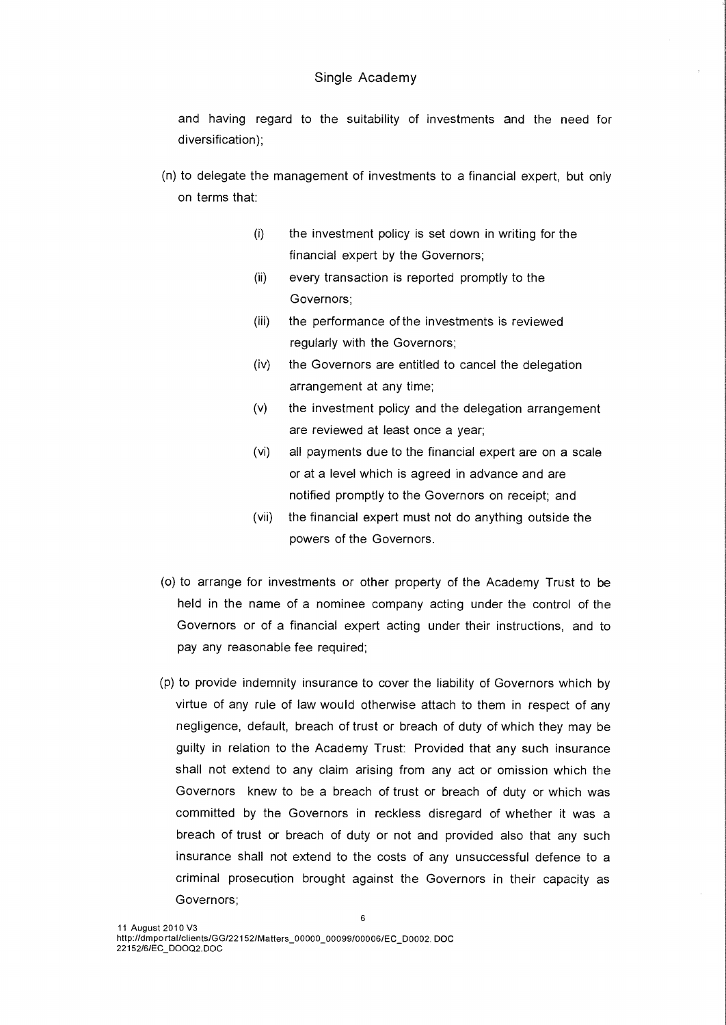and having regard to the suitability of investments and the need for diversification);

- (n) to delegate the management of investments to a financial expert, but only on terms that:
	- (i) the investment policy is set down in writing for the financial expert by the Governors;
	- (ii) every transaction is reported promptly to the Governors;
	- (iii) the performance of the investments is reviewed regularly with the Governors;
	- (iv) the Governors are entitled to cancel the delegation arrangement at any time;
	- (v) the investment policy and the delegation arrangement are reviewed at least once a year;
	- (vi) all payments due to the financial expert are on a scale or at a level which is agreed in advance and are notified promptly to the Governors on receipt; and
	- (vii) the financial expert must not do anything outside the powers of the Governors.
- (o) to arrange for investments or other property of the Academy Trust to be held in the name of a nominee company acting under the control of the Governors or of a financial expert acting under their instructions, and to pay any reasonable fee required;
- (p) to provide indemnity insurance to cover the liability of Governors which by virtue of any rule of law would otherwise attach to them in respect of any negligence, default, breach of trust or breach of duty of which they may be guilty in relation to the Academy Trust: Provided that any such insurance shall not extend to any claim arising from any act or omission which the Governors knew to be a breach of trust or breach of duty or which was committed by the Governors in reckless disregard of whether it was a breach of trust or breach of duty or not and provided also that any such insurance shall not extend to the costs of any unsuccessful defence to a criminal prosecution brought against the Governors in their capacity as Governors;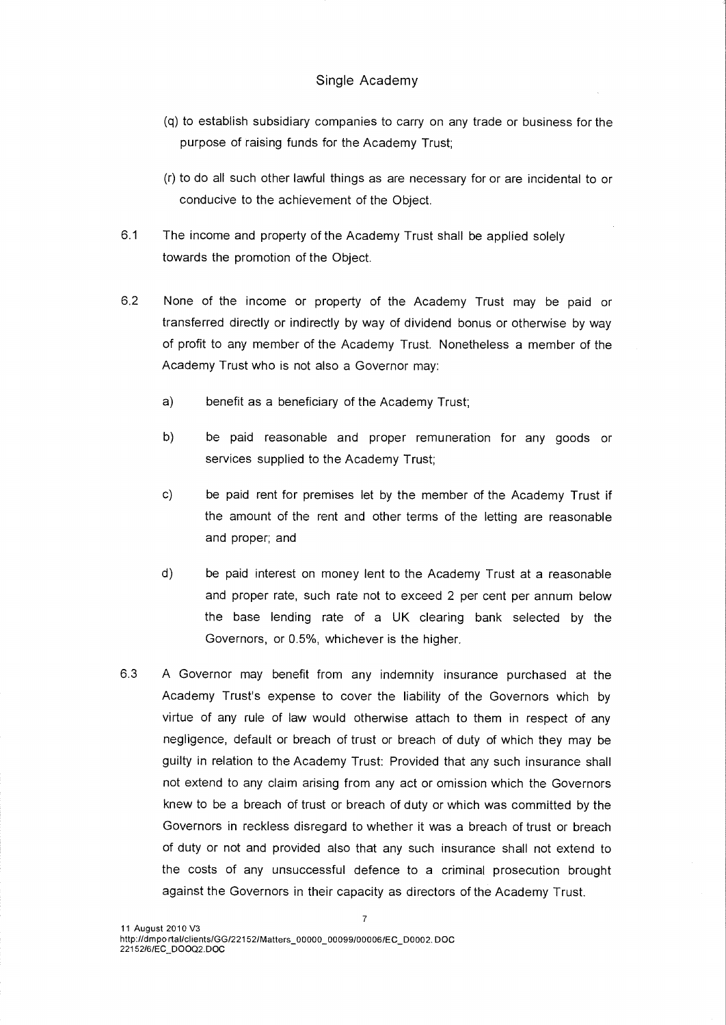- (q) to establish subsidiary companies to carry on any trade or business for the purpose of raising funds for the Academy Trust;
- (r) to do all such other lawful things as are necessary for or are incidental to or conducive to the achievement of the Object.
- 6.1 The income and property of the Academy Trust shall be applied solely towards the promotion of the Object.
- 6.2 None of the income or property of the Academy Trust may be paid or transferred directly or indirectly by way of dividend bonus or otherwise by way of profit to any member of the Academy Trust. Nonetheless a member of the Academy Trust who is not also a Governor may:
	- a) benefit as a beneficiary of the Academy Trust;
	- b) be paid reasonable and proper remuneration for any goods or services supplied to the Academy Trust;
	- c) be paid rent for premises let by the member of the Academy Trust if the amount of the rent and other terms of the letting are reasonable and proper; and
	- d) be paid interest on money lent to the Academy Trust at a reasonable and proper rate, such rate not to exceed 2 per cent per annum below the base lending rate of a UK clearing bank selected by the Governors, or 0.5%, whichever is the higher.
- 6.3 A Governor may benefit from any indemnity insurance purchased at the Academy Trust's expense to cover the liability of the Governors which by virtue of any rule of law would otherwise attach to them in respect of any negligence, default or breach of trust or breach of duty of which they may be guilty in relation to the Academy Trust: Provided that any such insurance shall not extend to any claim arising from any act or omission which the Governors knew to be a breach of trust or breach of duty or which was committed by the Governors in reckless disregard to whether it was a breach of trust or breach of duty or not and provided also that any such insurance shall not extend to the costs of any unsuccessful defence to a criminal prosecution brought against the Governors in their capacity as directors of the Academy Trust.

7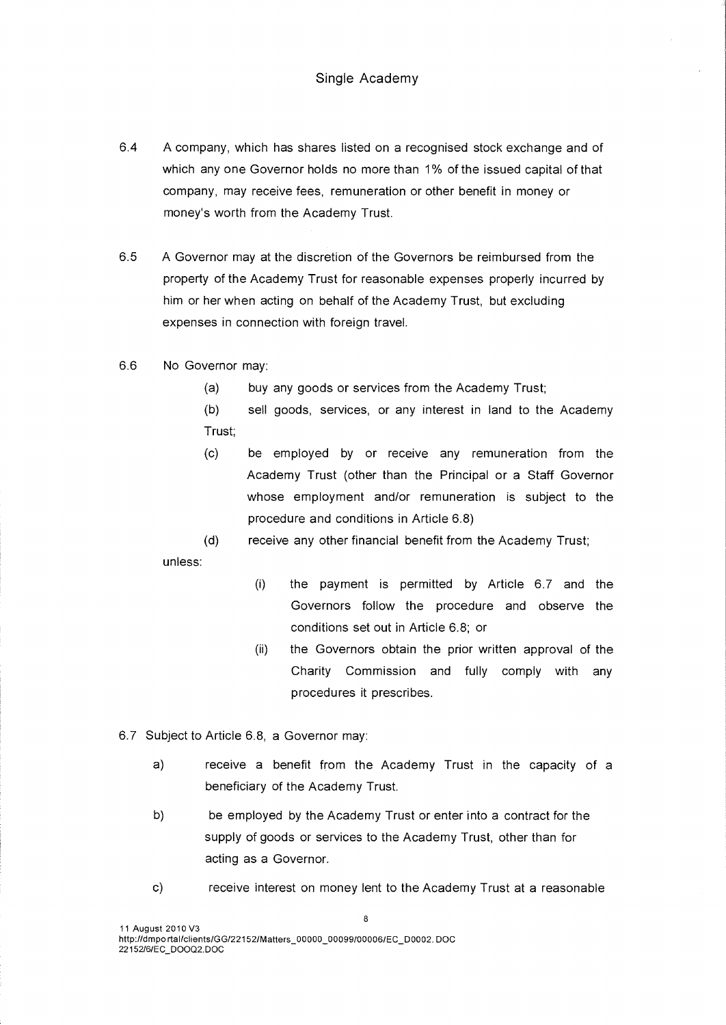- 6.4 A company, which has shares listed on a recognised stock exchange and of which any one Governor holds no more than 1% of the issued capital of that company, may receive fees, remuneration or other benefit in money or money's worth from the Academy Trust.
- 6.5 A Governor may at the discretion of the Governors be reimbursed from the property of the Academy Trust for reasonable expenses properly incurred by him or her when acting on behalf of the Academy Trust, but excluding expenses in connection with foreign travel.
- 6.6 No Governor may:
	- (a) buy any goods or services from the Academy Trust;
	- (b) sell goods, services, or any interest in land to the Academy Trust;
	- (c) be employed by or receive any remuneration from the Academy Trust (other than the Principal or a Staff Governor whose employment and/or remuneration is subject to the procedure and conditions in Article 6.8)

(d) receive any other financial benefit from the Academy Trust; unless:

- (i) the payment is permitted by Article 6.7 and the Governors follow the procedure and observe the conditions set out in Article 6.8; or
- (ii) the Governors obtain the prior written approval of the Charity Commission and fully comply with any procedures it prescribes.
- 6.7 Subject to Article 6.8, a Governor may:
	- a) receive a benefit from the Academy Trust in the capacity of a beneficiary of the Academy Trust.
	- b) be employed by the Academy Trust or enter into a contract for the supply of goods or services to the Academy Trust, other than for acting as a Governor.
	- c) receive interest on money lent to the Academy Trust at a reasonable

8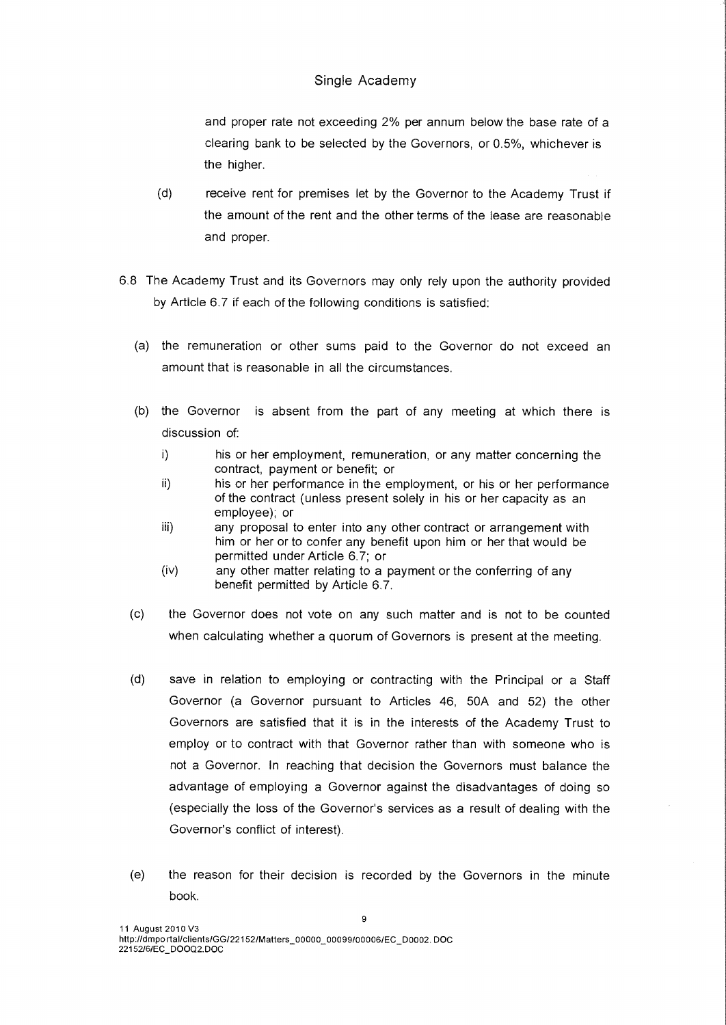and proper rate not exceeding 2% per annum below the base rate of a clearing bank to be selected by the Governors, or 0.5%, whichever is the higher.

- (d) receive rent for premises let by the Governor to the Academy Trust if the amount of the rent and the other terms of the lease are reasonable and proper.
- 6.8 The Academy Trust and its Governors may only rely upon the authority provided by Article 6.7 if each of the following conditions is satisfied:
	- (a) the remuneration or other sums paid to the Governor do not exceed an amount that is reasonable in all the circumstances.
	- (b) the Governor is absent from the part of any meeting at which there is discussion of:
		- i) his or her employment, remuneration, or any matter concerning the contract, payment or benefit; or
		- ii) his or her performance in the employment, or his or her performance of the contract (unless present solely in his or her capacity as an employee); or
		- iii) any proposal to enter into any other contract or arrangement with him or her or to confer any benefit upon him or her that would be permitted under Article 6.7; or
		- (iv) any other matter relating to a payment or the conferring of any benefit permitted by Article 6.7.
	- (c) the Governor does not vote on any such matter and is not to be counted when calculating whether a quorum of Governors is present at the meeting.
	- (d) save in relation to employing or contracting with the Principal or a Staff Governor (a Governor pursuant to Articles 46, 50A and 52) the other Governors are satisfied that it is in the interests of the Academy Trust to employ or to contract with that Governor rather than with someone who is not a Governor. In reaching that decision the Governors must balance the advantage of employing a Governor against the disadvantages of doing so (especially the loss of the Governor's services as a result of dealing with the Governor's conflict of interest).
	- (e) the reason for their decision is recorded by the Governors in the minute book.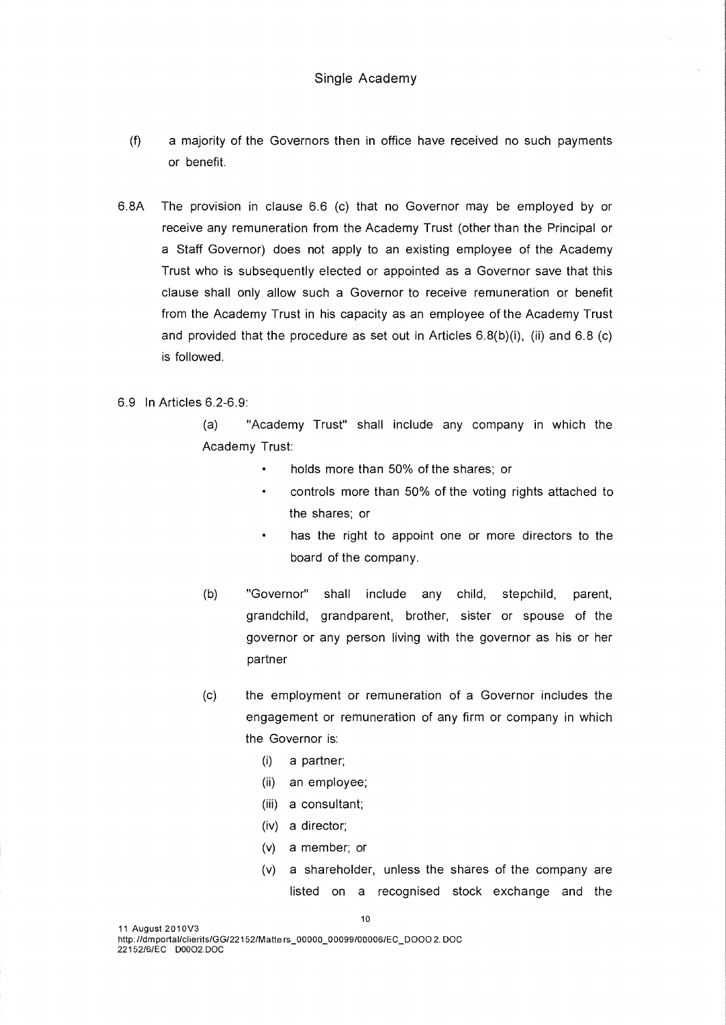- (f) a majority of the Governors then in office have received no such payments or benefit.
- 6.8A The provision in clause 6.6 (c) that no Governor may be employed by or receive any remuneration from the Academy Trust (other than the Principal or a Staff Governor) does not apply to an existing employee of the Academy Trust who is subsequently elected or appointed as a Governor save that this clause shall only allow such a Governor to receive remuneration or benefit from the Academy Trust in his capacity as an employee of the Academy Trust and provided that the procedure as set out in Articles 6.8(b)(i), (ii) and 6.8 (c) is followed.

## 6.9 In Articles 6.2-6.9:

(a) "Academy Trust" shall include any company in which the Academy Trust:

- holds more than 50% of the shares; or
- $\ddot{\phantom{0}}$ controls more than 50% of the voting rights attached to the shares; or
- has the right to appoint one or more directors to the board of the company.
- (b) "Governor" shall include any child, stepchild, parent, grandchild, grandparent, brother, sister or spouse of the governor or any person living with the governor as his or her partner
- (c) the employment or remuneration of a Governor includes the engagement or remuneration of any firm or company in which the Governor is:
	- (i) a partner;
	- (ii) an employee;
	- (iii) a consultant;
	- (iv) a director;
	- (v) a member; or
	- (v) a shareholder, unless the shares of the company are listed on a recognised stock exchange and the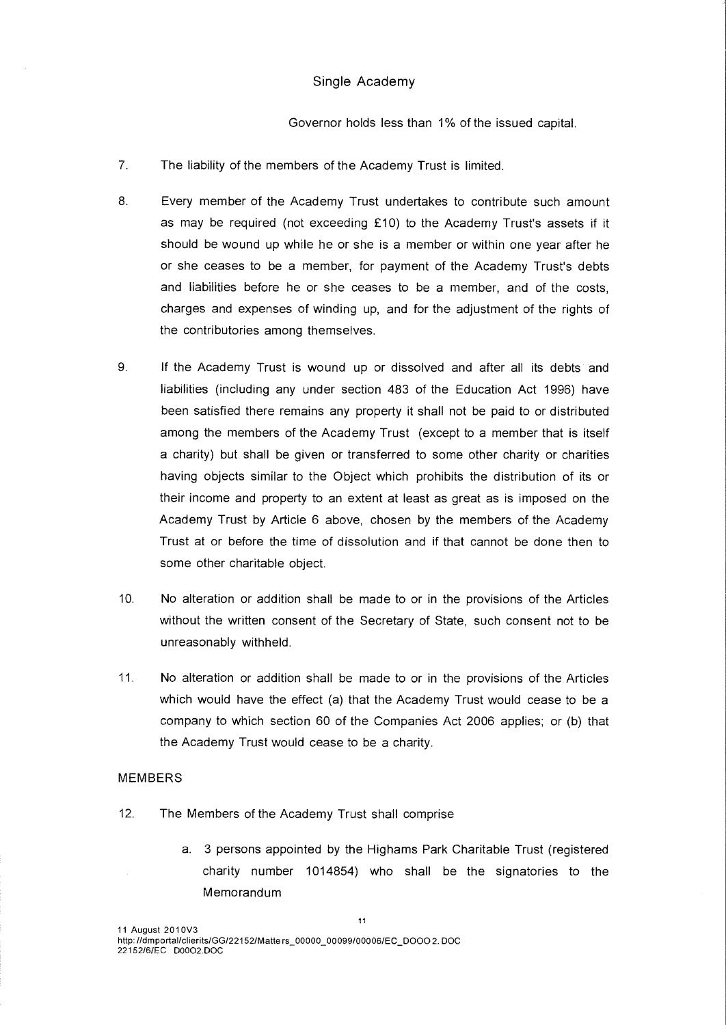Governor holds less than 1% of the issued capital.

- 7. The liability of the members of the Academy Trust is limited.
- 8. Every member of the Academy Trust undertakes to contribute such amount as may be required (not exceeding £10) to the Academy Trust's assets if it should be wound up while he or she is a member or within one year after he or she ceases to be a member, for payment of the Academy Trust's debts and liabilities before he or she ceases to be a member, and of the costs, charges and expenses of winding up, and for the adjustment of the rights of the contributories among themselves.
- 9. If the Academy Trust is wound up or dissolved and after all its debts and liabilities (including any under section 483 of the Education Act 1996) have been satisfied there remains any property it shall not be paid to or distributed among the members of the Academy Trust (except to a member that is itself a charity) but shall be given or transferred to some other charity or charities having objects similar to the Object which prohibits the distribution of its or their income and property to an extent at least as great as is imposed on the Academy Trust by Article 6 above, chosen by the members of the Academy Trust at or before the time of dissolution and if that cannot be done then to some other charitable object.
- 10. No alteration or addition shall be made to or in the provisions of the Articles without the written consent of the Secretary of State, such consent not to be unreasonably withheld.
- 11. No alteration or addition shall be made to or in the provisions of the Articles which would have the effect (a) that the Academy Trust would cease to be a company to which section 60 of the Companies Act 2006 applies; or (b) that the Academy Trust would cease to be a charity.

#### MEMBERS

- 12. The Members of the Academy Trust shall comprise
	- a. 3 persons appointed by the Highams Park Charitable Trust (registered charity number 1014854) who shall be the signatories to the Memorandum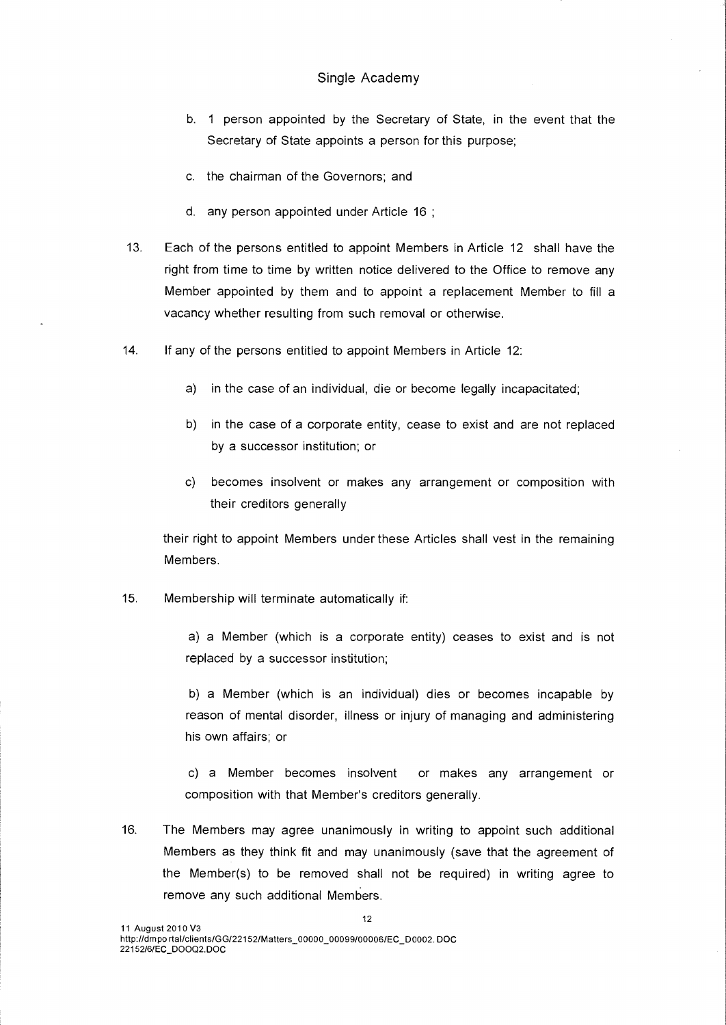- b. 1 person appointed by the Secretary of State, in the event that the Secretary of State appoints a person for this purpose;
- c. the chairman of the Governors; and
- d. any person appointed under Article 16 ;
- 13. Each of the persons entitled to appoint Members in Article 12 shall have the right from time to time by written notice delivered to the Office to remove any Member appointed by them and to appoint a replacement Member to fill a vacancy whether resulting from such removal or otherwise.
- 14. If any of the persons entitled to appoint Members in Article 12:
	- a) in the case of an individual, die or become legally incapacitated;
	- b) in the case of a corporate entity, cease to exist and are not replaced by a successor institution; or
	- c) becomes insolvent or makes any arrangement or composition with their creditors generally

their right to appoint Members under these Articles shall vest in the remaining Members.

15. Membership will terminate automatically if:

a) a Member (which is a corporate entity) ceases to exist and is not replaced by a successor institution;

b) a Member (which is an individual) dies or becomes incapable by reason of mental disorder, illness or injury of managing and administering his own affairs; or

c) a Member becomes insolvent or makes any arrangement or composition with that Member's creditors generally.

16. The Members may agree unanimously in writing to appoint such additional Members as they think fit and may unanimously (save that the agreement of the Member(s) to be removed shall not be required) in writing agree to remove any such additional Members.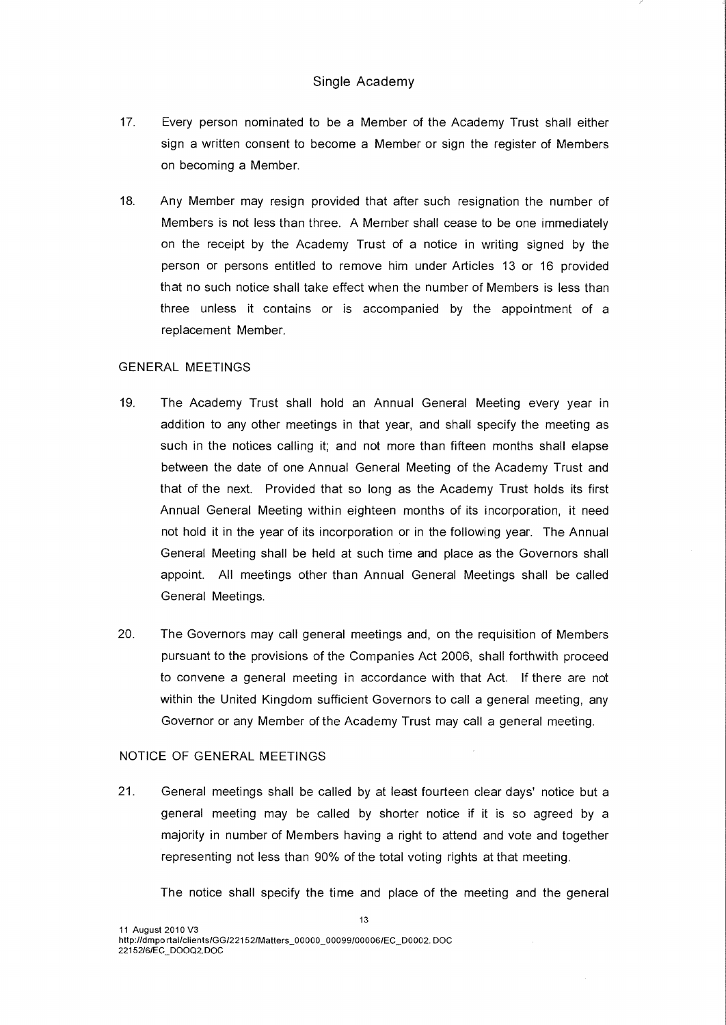- 17. Every person nominated to be a Member of the Academy Trust shall either sign a written consent to become a Member or sign the register of Members on becoming a Member.
- 18. Any Member may resign provided that after such resignation the number of Members is not less than three. A Member shall cease to be one immediately on the receipt by the Academy Trust of a notice in writing signed by the person or persons entitled to remove him under Articles 13 or 16 provided that no such notice shall take effect when the number of Members is less than three unless it contains or is accompanied by the appointment of a replacement Member.

## GENERAL MEETINGS

- 19. The Academy Trust shall hold an Annual General Meeting every year in addition to any other meetings in that year, and shall specify the meeting as such in the notices calling it; and not more than fifteen months shall elapse between the date of one Annual General Meeting of the Academy Trust and that of the next. Provided that so long as the Academy Trust holds its first Annual General Meeting within eighteen months of its incorporation, it need not hold it in the year of its incorporation or in the following year. The Annual General Meeting shall be held at such time and place as the Governors shall appoint. All meetings other than Annual General Meetings shall be called General Meetings.
- 20. The Governors may call general meetings and, on the requisition of Members pursuant to the provisions of the Companies Act 2006, shall forthwith proceed to convene a general meeting in accordance with that Act. If there are not within the United Kingdom sufficient Governors to call a general meeting, any Governor or any Member of the Academy Trust may call a general meeting.

#### NOTICE OF GENERAL MEETINGS

21. General meetings shall be called by at least fourteen clear days' notice but a general meeting may be called by shorter notice if it is so agreed by a majority in number of Members having a right to attend and vote and together representing not less than 90% of the total voting rights at that meeting.

The notice shall specify the time and place of the meeting and the general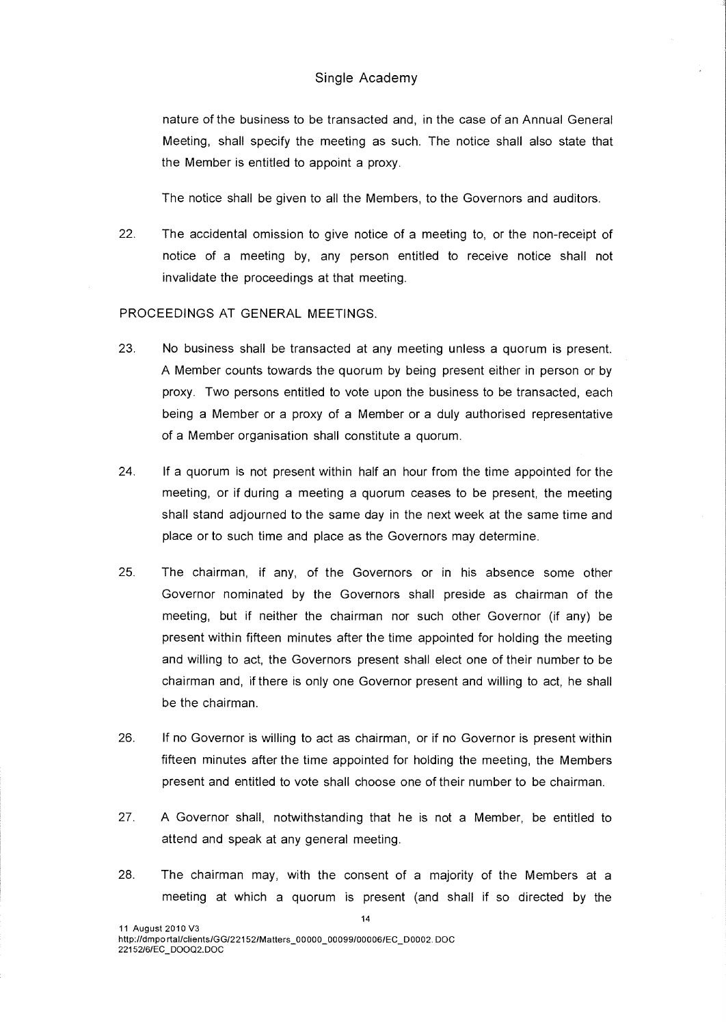nature of the business to be transacted and, in the case of an Annual General Meeting, shall specify the meeting as such. The notice shall also state that the Member is entitled to appoint a proxy.

The notice shall be given to all the Members, to the Governors and auditors.

22. The accidental omission to give notice of a meeting to, or the non-receipt of notice of a meeting by, any person entitled to receive notice shall not invalidate the proceedings at that meeting.

# PROCEEDINGS AT GENERAL MEETINGS.

- 23. No business shall be transacted at any meeting unless a quorum is present. A Member counts towards the quorum by being present either in person or by proxy. Two persons entitled to vote upon the business to be transacted, each being a Member or a proxy of a Member or a duly authorised representative of a Member organisation shall constitute a quorum.
- 24. If a quorum is not present within half an hour from the time appointed for the meeting, or if during a meeting a quorum ceases to be present, the meeting shall stand adjourned to the same day in the next week at the same time and place or to such time and place as the Governors may determine.
- 25. The chairman, if any, of the Governors or in his absence some other Governor nominated by the Governors shall preside as chairman of the meeting, but if neither the chairman nor such other Governor (if any) be present within fifteen minutes after the time appointed for holding the meeting and willing to act, the Governors present shall elect one of their number to be chairman and, if there is only one Governor present and willing to act, he shall be the chairman.
- 26. If no Governor is willing to act as chairman, or if no Governor is present within fifteen minutes after the time appointed for holding the meeting, the Members present and entitled to vote shall choose one of their number to be chairman.
- 27. A Governor shall, notwithstanding that he is not a Member, be entitled to attend and speak at any general meeting.
- 28. The chairman may, with the consent of a majority of the Members at a meeting at which a quorum is present (and shall if so directed by the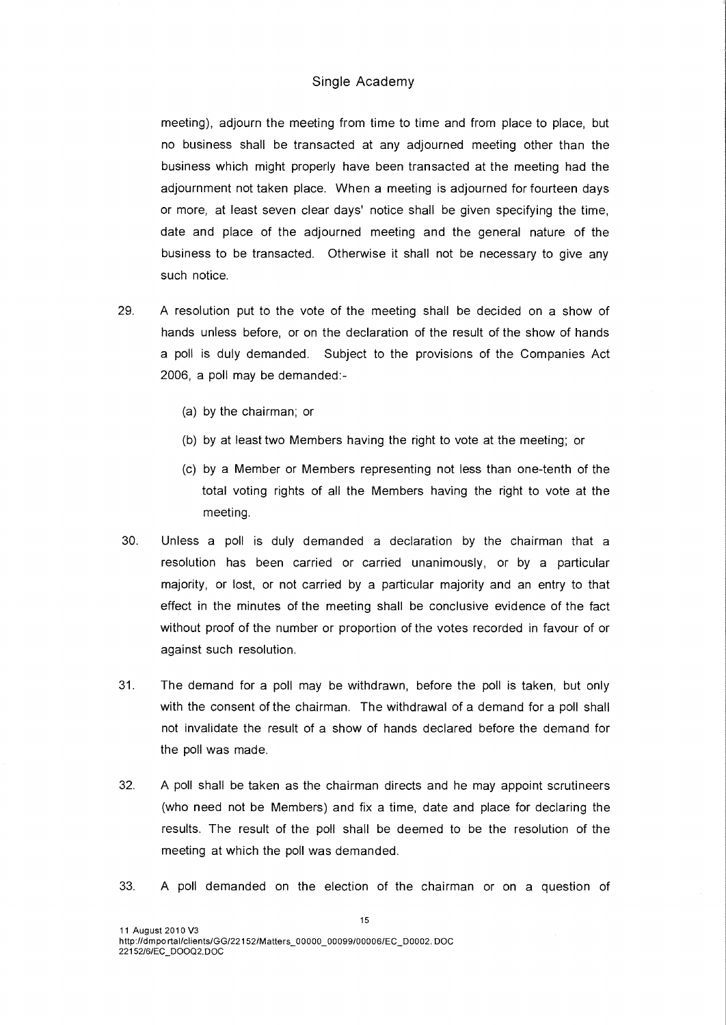meeting), adjourn the meeting from time to time and from place to place, but no business shall be transacted at any adjourned meeting other than the business which might properly have been transacted at the meeting had the adjournment not taken place. When a meeting is adjourned for fourteen days or more, at least seven clear days' notice shall be given specifying the time, date and place of the adjourned meeting and the general nature of the business to be transacted. Otherwise it shall not be necessary to give any such notice.

- 29. A resolution put to the vote of the meeting shall be decided on a show of hands unless before, or on the declaration of the result of the show of hands a poll is duly demanded. Subject to the provisions of the Companies Act 2006, a poll may be demanded:-
	- (a) by the chairman; or
	- (b) by at least two Members having the right to vote at the meeting; or
	- (c) by a Member or Members representing not less than one-tenth of the total voting rights of all the Members having the right to vote at the meeting.
- 30. Unless a poll is duly demanded a declaration by the chairman that a resolution has been carried or carried unanimously, or by a particular majority, or lost, or not carried by a particular majority and an entry to that effect in the minutes of the meeting shall be conclusive evidence of the fact without proof of the number or proportion of the votes recorded in favour of or against such resolution.
- 31. The demand for a poll may be withdrawn, before the poll is taken, but only with the consent of the chairman. The withdrawal of a demand for a poll shall not invalidate the result of a show of hands declared before the demand for the poll was made.
- 32. A poll shall be taken as the chairman directs and he may appoint scrutineers (who need not be Members) and fix a time, date and place for declaring the results. The result of the poll shall be deemed to be the resolution of the meeting at which the poll was demanded.
- 33. A poll demanded on the election of the chairman or on a question of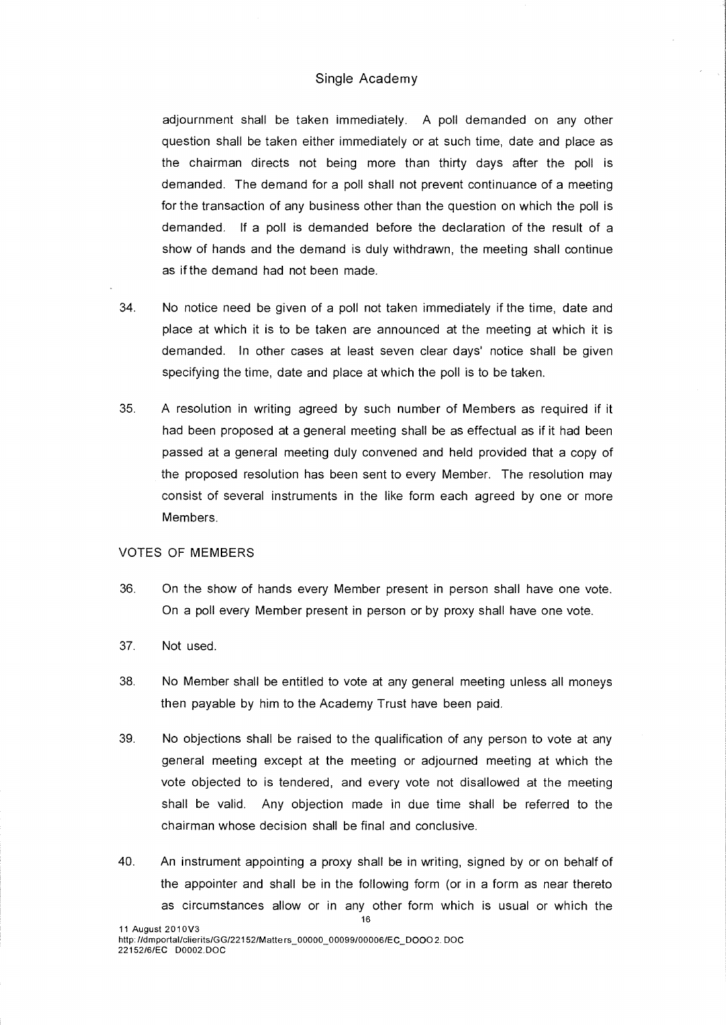adjournment shall be taken immediately. A poll demanded on any other question shall be taken either immediately or at such time, date and place as the chairman directs not being more than thirty days after the poll is demanded. The demand for a poll shall not prevent continuance of a meeting for the transaction of any business other than the question on which the poll is demanded. If a poll is demanded before the declaration of the result of a show of hands and the demand is duly withdrawn, the meeting shall continue as if the demand had not been made.

- 34. No notice need be given of a poll not taken immediately if the time, date and place at which it is to be taken are announced at the meeting at which it is demanded. In other cases at least seven clear days' notice shall be given specifying the time, date and place at which the poll is to be taken.
- 35. A resolution in writing agreed by such number of Members as required if it had been proposed at a general meeting shall be as effectual as if it had been passed at a general meeting duly convened and held provided that a copy of the proposed resolution has been sent to every Member. The resolution may consist of several instruments in the like form each agreed by one or more Members.

## VOTES OF MEMBERS

- 36. On the show of hands every Member present in person shall have one vote. On a poll every Member present in person or by proxy shall have one vote.
- 37. Not used.
- 38. No Member shall be entitled to vote at any general meeting unless all moneys then payable by him to the Academy Trust have been paid.
- 39. No objections shall be raised to the qualification of any person to vote at any general meeting except at the meeting or adjourned meeting at which the vote objected to is tendered, and every vote not disallowed at the meeting shall be valid. Any objection made in due time shall be referred to the chairman whose decision shall be final and conclusive.
- 40. An instrument appointing a proxy shall be in writing, signed by or on behalf of the appointer and shall be in the following form (or in a form as near thereto as circumstances allow or in any other form which is usual or which the

16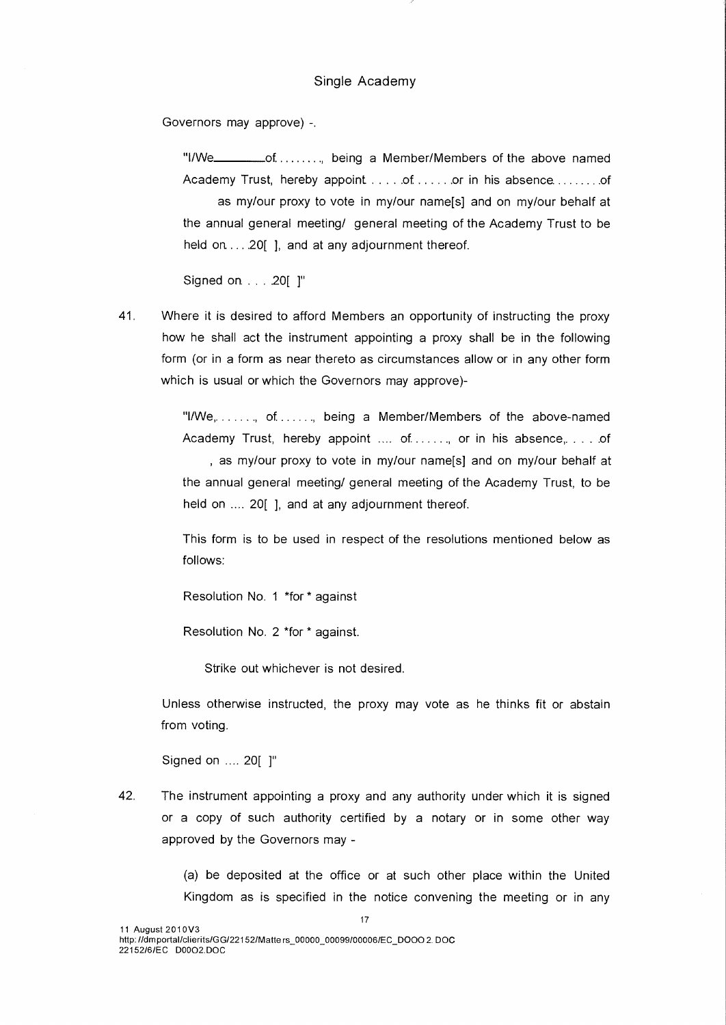Governors may approve) -.

"I/We \_\_\_\_\_\_\_\_\_of . . . . . . . , being a Member/Members of the above named Academy Trust, hereby appoint .... of ..... or in his absence ........ of as my/our proxy to vote in my/our name[s] and on my/our behalf at the annual general meeting/ general meeting of the Academy Trust to be held on  $\dots$  20[ ], and at any adjournment thereof.

Signed on. . . . 20[ ]"

41. Where it is desired to afford Members an opportunity of instructing the proxy how he shall act the instrument appointing a proxy shall be in the following form (or in a form as near thereto as circumstances allow or in any other form which is usual or which the Governors may approve)-

> "I/We,  $\dots$ , of  $\dots$ , being a Member/Members of the above-named Academy Trust, hereby appoint  $\dots$  of  $\dots$ , or in his absence,  $\dots$  of , as my/our proxy to vote in my/our name[s] and on my/our behalf at the annual general meeting/ general meeting of the Academy Trust, to be held on .... 20[ ], and at any adjournment thereof.

> This form is to be used in respect of the resolutions mentioned below as follows:

Resolution No. 1 \*for\* against

Resolution No. 2 \*for \* against.

Strike out whichever is not desired.

Unless otherwise instructed, the proxy may vote as he thinks fit or abstain from voting.

Signed on .... 20[ ]"

42. The instrument appointing a proxy and any authority under which it is signed or a copy of such authority certified by a notary or in some other way approved by the Governors may -

> (a) be deposited at the office or at such other place within the United Kingdom as is specified in the notice convening the meeting or in any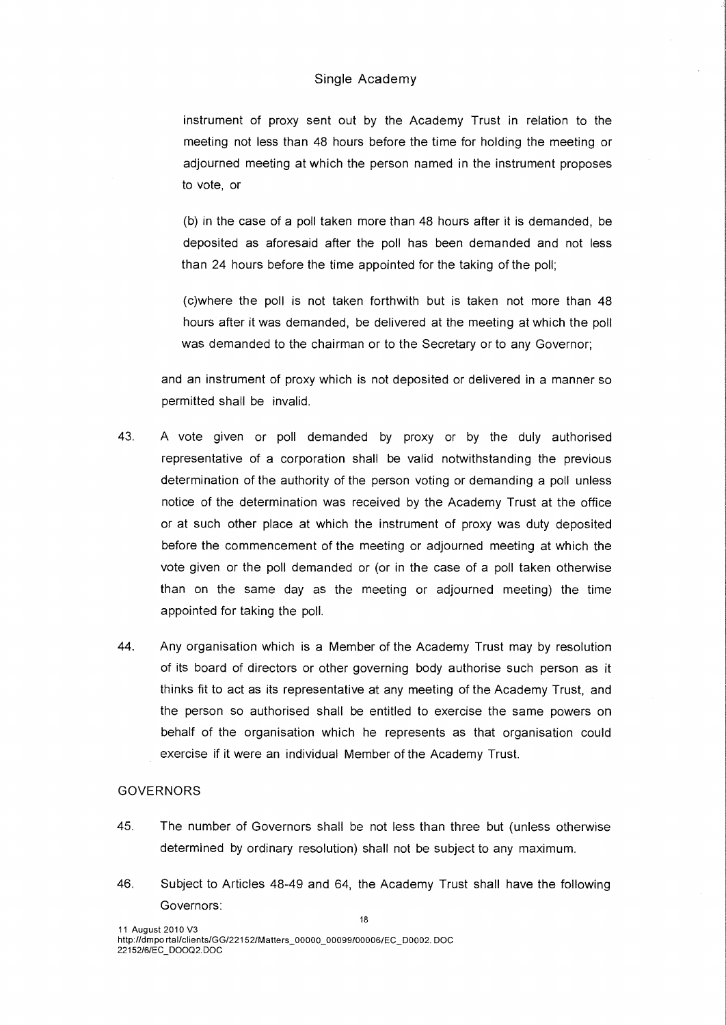instrument of proxy sent out by the Academy Trust in relation to the meeting not less than 48 hours before the time for holding the meeting or adjourned meeting at which the person named in the instrument proposes to vote, or

(b) in the case of a poll taken more than 48 hours after it is demanded, be deposited as aforesaid after the poll has been demanded and not less than 24 hours before the time appointed for the taking of the poll;

(c)where the poll is not taken forthwith but is taken not more than 48 hours after it was demanded, be delivered at the meeting at which the poll was demanded to the chairman or to the Secretary or to any Governor;

and an instrument of proxy which is not deposited or delivered in a manner so permitted shall be invalid.

- 43. A vote given or poll demanded by proxy or by the duly authorised representative of a corporation shall be valid notwithstanding the previous determination of the authority of the person voting or demanding a poll unless notice of the determination was received by the Academy Trust at the office or at such other place at which the instrument of proxy was duty deposited before the commencement of the meeting or adjourned meeting at which the vote given or the poll demanded or (or in the case of a poll taken otherwise than on the same day as the meeting or adjourned meeting) the time appointed for taking the poll.
- 44. Any organisation which is a Member of the Academy Trust may by resolution of its board of directors or other governing body authorise such person as it thinks fit to act as its representative at any meeting of the Academy Trust, and the person so authorised shall be entitled to exercise the same powers on behalf of the organisation which he represents as that organisation could exercise if it were an individual Member of the Academy Trust.

## GOVERNORS

- 45. The number of Governors shall be not less than three but (unless otherwise determined by ordinary resolution) shall not be subject to any maximum.
- 46. Subject to Articles 48-49 and 64, the Academy Trust shall have the following Governors: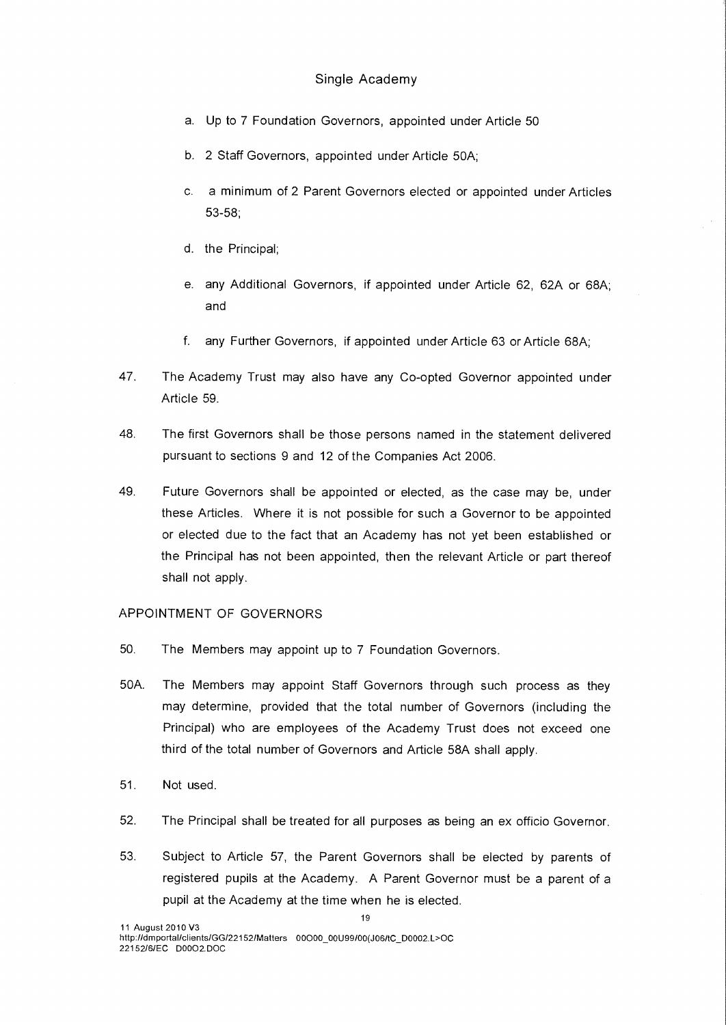- a. Up to 7 Foundation Governors, appointed under Article 50
- b. 2 Staff Governors, appointed under Article 50A;
- c. a minimum of 2 Parent Governors elected or appointed under Articles 53-58;
- d. the Principal;
- e. any Additional Governors, if appointed under Article 62, 62A or 68A; and
- f. any Further Governors, if appointed under Article 63 or Article 68A;
- 47. The Academy Trust may also have any Co-opted Governor appointed under Article 59.
- 48. The first Governors shall be those persons named in the statement delivered pursuant to sections 9 and 12 of the Companies Act 2006.
- 49. Future Governors shall be appointed or elected, as the case may be, under these Articles. Where it is not possible for such a Governor to be appointed or elected due to the fact that an Academy has not yet been established or the Principal has not been appointed, then the relevant Article or part thereof shall not apply.

## APPOINTMENT OF GOVERNORS

- 50. The Members may appoint up to 7 Foundation Governors.
- 50A. The Members may appoint Staff Governors through such process as they may determine, provided that the total number of Governors (including the Principal) who are employees of the Academy Trust does not exceed one third of the total number of Governors and Article 58A shall apply.
- 51. Not used.
- 52. The Principal shall be treated for all purposes as being an ex officio Governor.
- 53. Subject to Article 57, the Parent Governors shall be elected by parents of registered pupils at the Academy. A Parent Governor must be a parent of a pupil at the Academy at the time when he is elected.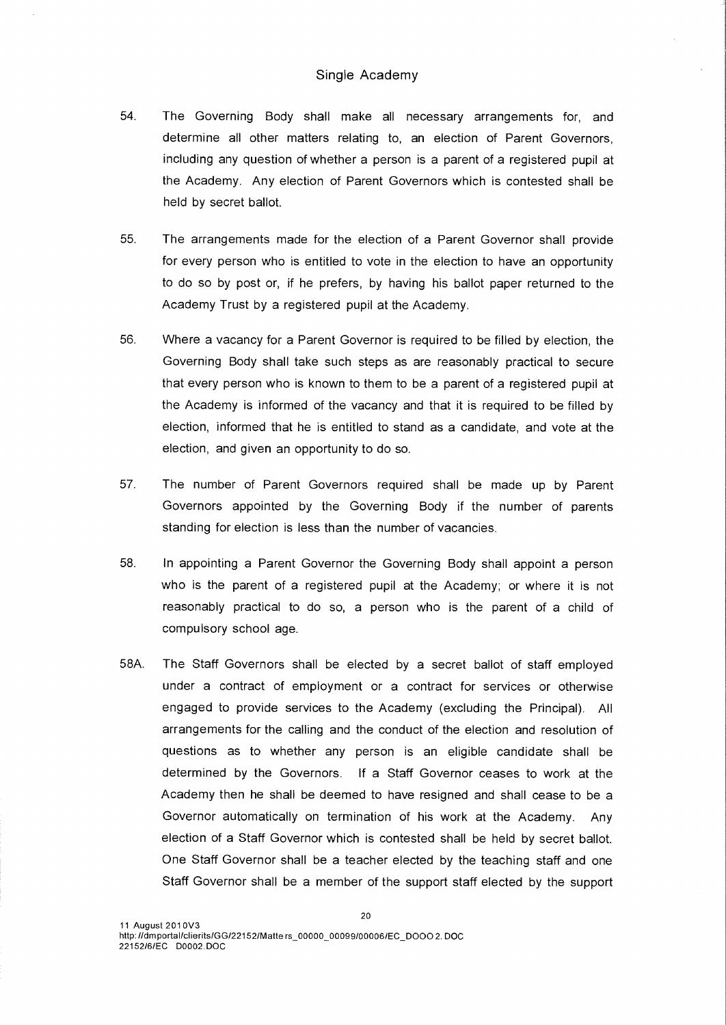- 54. The Governing Body shall make all necessary arrangements for, and determine all other matters relating to, an election of Parent Governors, including any question of whether a person is a parent of a registered pupil at the Academy. Any election of Parent Governors which is contested shall be held by secret ballot.
- 55. The arrangements made for the election of a Parent Governor shall provide for every person who is entitled to vote in the election to have an opportunity to do so by post or, if he prefers, by having his ballot paper returned to the Academy Trust by a registered pupil at the Academy.
- 56. Where a vacancy for a Parent Governor is required to be filled by election, the Governing Body shall take such steps as are reasonably practical to secure that every person who is known to them to be a parent of a registered pupil at the Academy is informed of the vacancy and that it is required to be filled by election, informed that he is entitled to stand as a candidate, and vote at the election, and given an opportunity to do so.
- 57. The number of Parent Governors required shall be made up by Parent Governors appointed by the Governing Body if the number of parents standing for election is less than the number of vacancies.
- 58. In appointing a Parent Governor the Governing Body shall appoint a person who is the parent of a registered pupil at the Academy; or where it is not reasonably practical to do so, a person who is the parent of a child of compulsory school age.
- 58A. The Staff Governors shall be elected by a secret ballot of staff employed under a contract of employment or a contract for services or otherwise engaged to provide services to the Academy (excluding the Principal). All arrangements for the calling and the conduct of the election and resolution of questions as to whether any person is an eligible candidate shall be determined by the Governors. If a Staff Governor ceases to work at the Academy then he shall be deemed to have resigned and shall cease to be a Governor automatically on termination of his work at the Academy. Any election of a Staff Governor which is contested shall be held by secret ballot. One Staff Governor shall be a teacher elected by the teaching staff and one Staff Governor shall be a member of the support staff elected by the support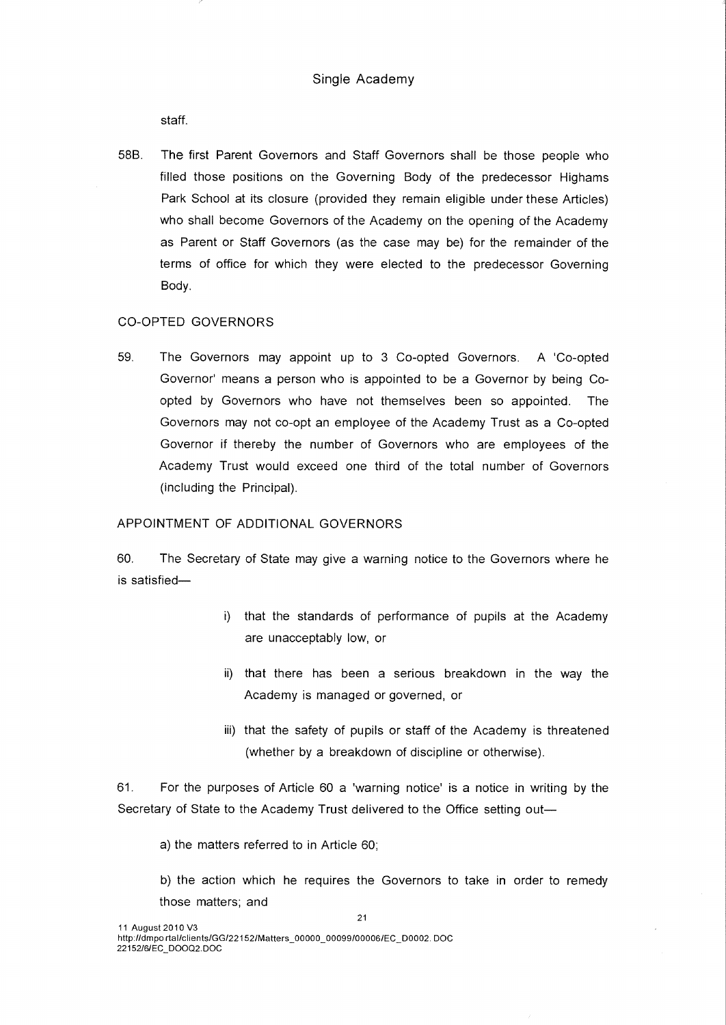staff.

58B. The first Parent Governors and Staff Governors shall be those people who filled those positions on the Governing Body of the predecessor Highams Park School at its closure (provided they remain eligible under these Articles) who shall become Governors of the Academy on the opening of the Academy as Parent or Staff Governors (as the case may be) for the remainder of the terms of office for which they were elected to the predecessor Governing Body.

## CO-OPTED GOVERNORS

59. The Governors may appoint up to 3 Co-opted Governors. A 'Co-opted Governor' means a person who is appointed to be a Governor by being Coopted by Governors who have not themselves been so appointed. The Governors may not co-opt an employee of the Academy Trust as a Co-opted Governor if thereby the number of Governors who are employees of the Academy Trust would exceed one third of the total number of Governors (including the Principal).

#### APPOINTMENT OF ADDITIONAL GOVERNORS

60. The Secretary of State may give a warning notice to the Governors where he is satisfied—

- i) that the standards of performance of pupils at the Academy are unacceptably low, or
- ii) that there has been a serious breakdown in the way the Academy is managed or governed, or
- iii) that the safety of pupils or staff of the Academy is threatened (whether by a breakdown of discipline or otherwise).

61. For the purposes of Article 60 a 'warning notice' is a notice in writing by the Secretary of State to the Academy Trust delivered to the Office setting out—

21

a) the matters referred to in Article 60;

b) the action which he requires the Governors to take in order to remedy those matters; and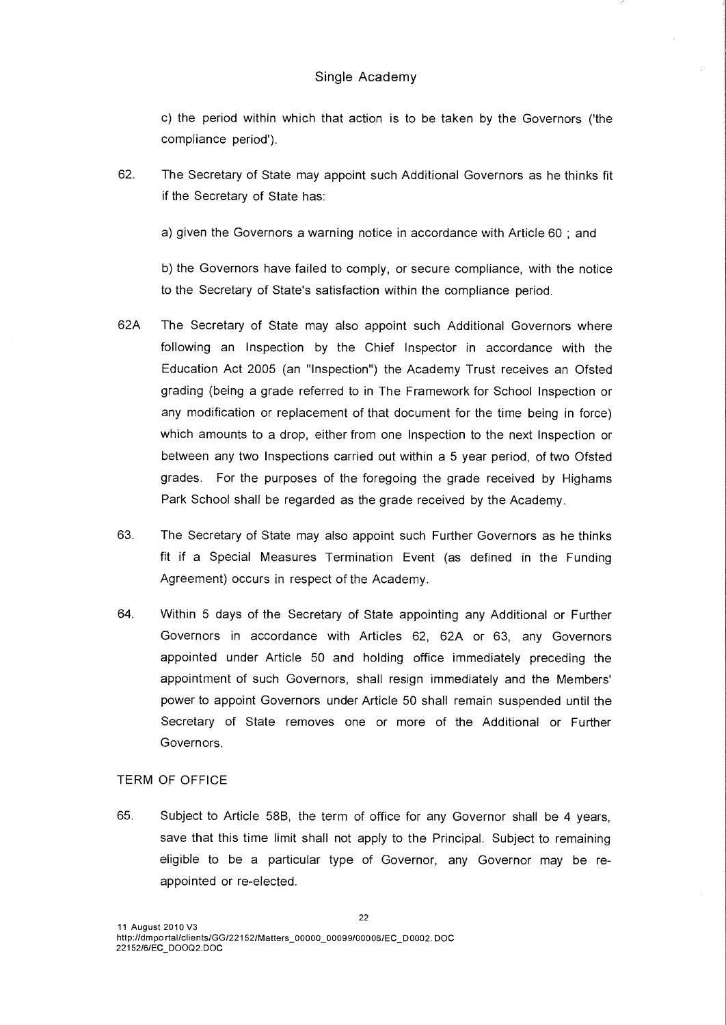c) the period within which that action is to be taken by the Governors ('the compliance period').

62. The Secretary of State may appoint such Additional Governors as he thinks fit if the Secretary of State has:

a) given the Governors a warning notice in accordance with Article 60 ; and

b) the Governors have failed to comply, or secure compliance, with the notice to the Secretary of State's satisfaction within the compliance period.

- 62A The Secretary of State may also appoint such Additional Governors where following an Inspection by the Chief Inspector in accordance with the Education Act 2005 (an "Inspection") the Academy Trust receives an Ofsted grading (being a grade referred to in The Framework for School Inspection or any modification or replacement of that document for the time being in force) which amounts to a drop, either from one Inspection to the next Inspection or between any two Inspections carried out within a 5 year period, of two Ofsted grades. For the purposes of the foregoing the grade received by Highams Park School shall be regarded as the grade received by the Academy.
- 63. The Secretary of State may also appoint such Further Governors as he thinks fit if a Special Measures Termination Event (as defined in the Funding Agreement) occurs in respect of the Academy.
- 64. Within 5 days of the Secretary of State appointing any Additional or Further Governors in accordance with Articles 62, 62A or 63, any Governors appointed under Article 50 and holding office immediately preceding the appointment of such Governors, shall resign immediately and the Members' power to appoint Governors under Article 50 shall remain suspended until the Secretary of State removes one or more of the Additional or Further Governors.

#### TERM OF OFFICE

65. Subject to Article 58B, the term of office for any Governor shall be 4 years, save that this time limit shall not apply to the Principal. Subject to remaining eligible to be a particular type of Governor, any Governor may be reappointed or re-elected.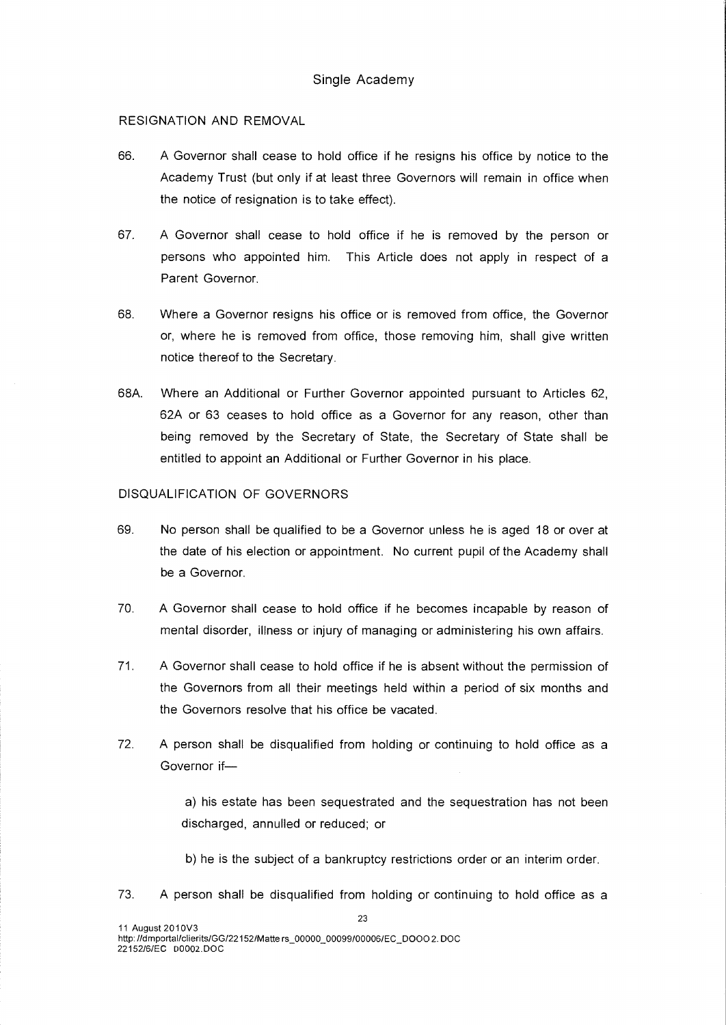## RESIGNATION AND REMOVAL

- 66. A Governor shall cease to hold office if he resigns his office by notice to the Academy Trust (but only if at least three Governors will remain in office when the notice of resignation is to take effect).
- 67. A Governor shall cease to hold office if he is removed by the person or persons who appointed him. This Article does not apply in respect of a Parent Governor.
- 68. Where a Governor resigns his office or is removed from office, the Governor or, where he is removed from office, those removing him, shall give written notice thereof to the Secretary.
- 68A. Where an Additional or Further Governor appointed pursuant to Articles 62, 62A or 63 ceases to hold office as a Governor for any reason, other than being removed by the Secretary of State, the Secretary of State shall be entitled to appoint an Additional or Further Governor in his place.

## DISQUALIFICATION OF GOVERNORS

- 69. No person shall be qualified to be a Governor unless he is aged 18 or over at the date of his election or appointment. No current pupil of the Academy shall be a Governor.
- 70. A Governor shall cease to hold office if he becomes incapable by reason of mental disorder, illness or injury of managing or administering his own affairs.
- 71. A Governor shall cease to hold office if he is absent without the permission of the Governors from all their meetings held within a period of six months and the Governors resolve that his office be vacated.
- 72. A person shall be disqualified from holding or continuing to hold office as a Governor if—

a) his estate has been sequestrated and the sequestration has not been discharged, annulled or reduced; or

b) he is the subject of a bankruptcy restrictions order or an interim order.

73. A person shall be disqualified from holding or continuing to hold office as a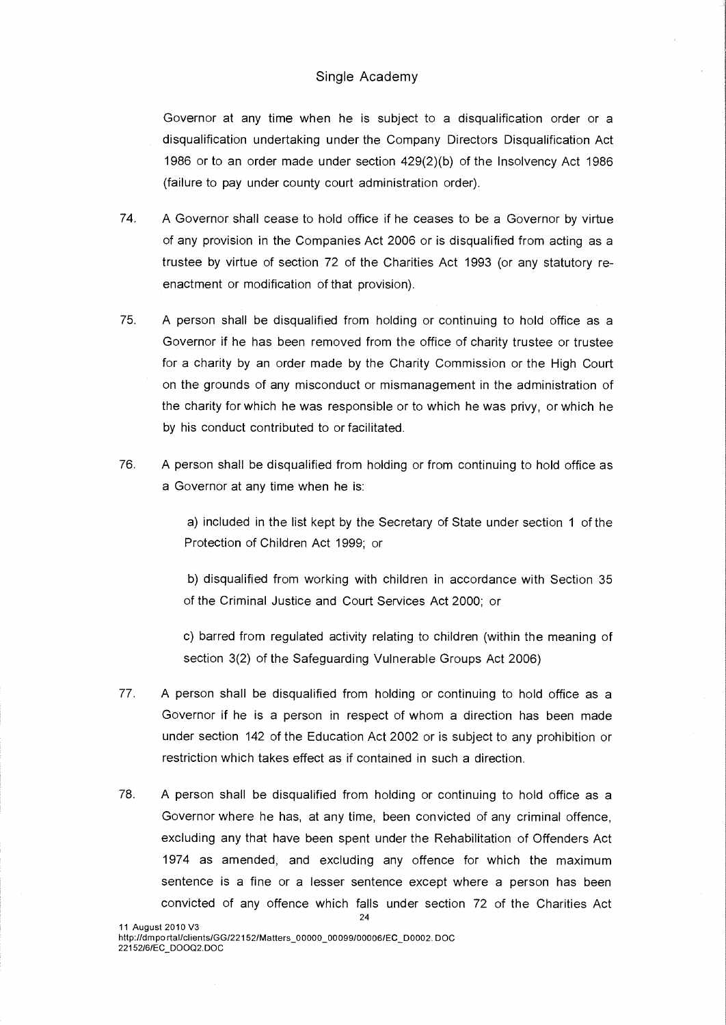Governor at any time when he is subject to a disqualification order or a disqualification undertaking under the Company Directors Disqualification Act 1986 or to an order made under section 429(2)(b) of the Insolvency Act 1986 (failure to pay under county court administration order).

- 74. A Governor shall cease to hold office if he ceases to be a Governor by virtue of any provision in the Companies Act 2006 or is disqualified from acting as a trustee by virtue of section 72 of the Charities Act 1993 (or any statutory reenactment or modification of that provision).
- 75. A person shall be disqualified from holding or continuing to hold office as a Governor if he has been removed from the office of charity trustee or trustee for a charity by an order made by the Charity Commission or the High Court on the grounds of any misconduct or mismanagement in the administration of the charity for which he was responsible or to which he was privy, or which he by his conduct contributed to or facilitated.
- 76. A person shall be disqualified from holding or from continuing to hold office as a Governor at any time when he is:

a) included in the list kept by the Secretary of State under section 1 of the Protection of Children Act 1999; or

b) disqualified from working with children in accordance with Section 35 of the Criminal Justice and Court Services Act 2000; or

c) barred from regulated activity relating to children (within the meaning of section 3(2) of the Safeguarding Vulnerable Groups Act 2006)

- 77. A person shall be disqualified from holding or continuing to hold office as a Governor if he is a person in respect of whom a direction has been made under section 142 of the Education Act 2002 or is subject to any prohibition or restriction which takes effect as if contained in such a direction.
- 78. A person shall be disqualified from holding or continuing to hold office as a Governor where he has, at any time, been convicted of any criminal offence, excluding any that have been spent under the Rehabilitation of Offenders Act 1974 as amended, and excluding any offence for which the maximum sentence is a fine or a lesser sentence except where a person has been convicted of any offence which falls under section 72 of the Charities Act 24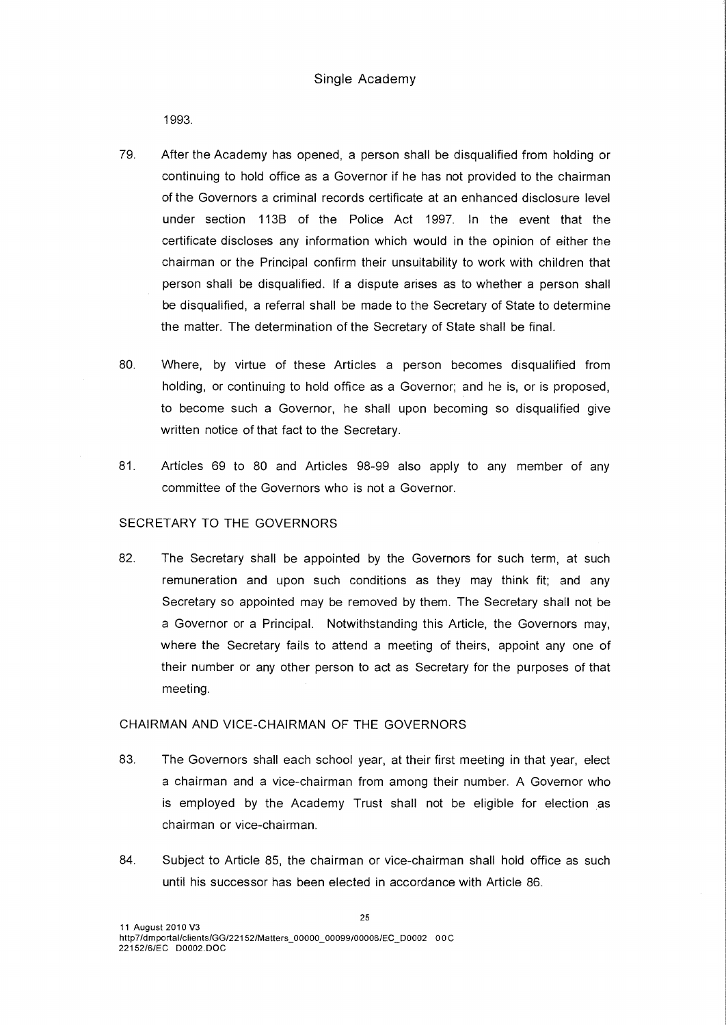1993.

- 79. After the Academy has opened, a person shall be disqualified from holding or continuing to hold office as a Governor if he has not provided to the chairman of the Governors a criminal records certificate at an enhanced disclosure level under section 113B of the Police Act 1997. In the event that the certificate discloses any information which would in the opinion of either the chairman or the Principal confirm their unsuitability to work with children that person shall be disqualified. If a dispute arises as to whether a person shall be disqualified, a referral shall be made to the Secretary of State to determine the matter. The determination of the Secretary of State shall be final.
- 80. Where, by virtue of these Articles a person becomes disqualified from holding, or continuing to hold office as a Governor; and he is, or is proposed, to become such a Governor, he shall upon becoming so disqualified give written notice of that fact to the Secretary.
- 81. Articles 69 to 80 and Articles 98-99 also apply to any member of any committee of the Governors who is not a Governor.

### SECRETARY TO THE GOVERNORS

82. The Secretary shall be appointed by the Governors for such term, at such remuneration and upon such conditions as they may think fit; and any Secretary so appointed may be removed by them. The Secretary shall not be a Governor or a Principal. Notwithstanding this Article, the Governors may, where the Secretary fails to attend a meeting of theirs, appoint any one of their number or any other person to act as Secretary for the purposes of that meeting.

#### CHAIRMAN AND VICE-CHAIRMAN OF THE GOVERNORS

- 83. The Governors shall each school year, at their first meeting in that year, elect a chairman and a vice-chairman from among their number. A Governor who is employed by the Academy Trust shall not be eligible for election as chairman or vice-chairman.
- 84. Subject to Article 85, the chairman or vice-chairman shall hold office as such until his successor has been elected in accordance with Article 86.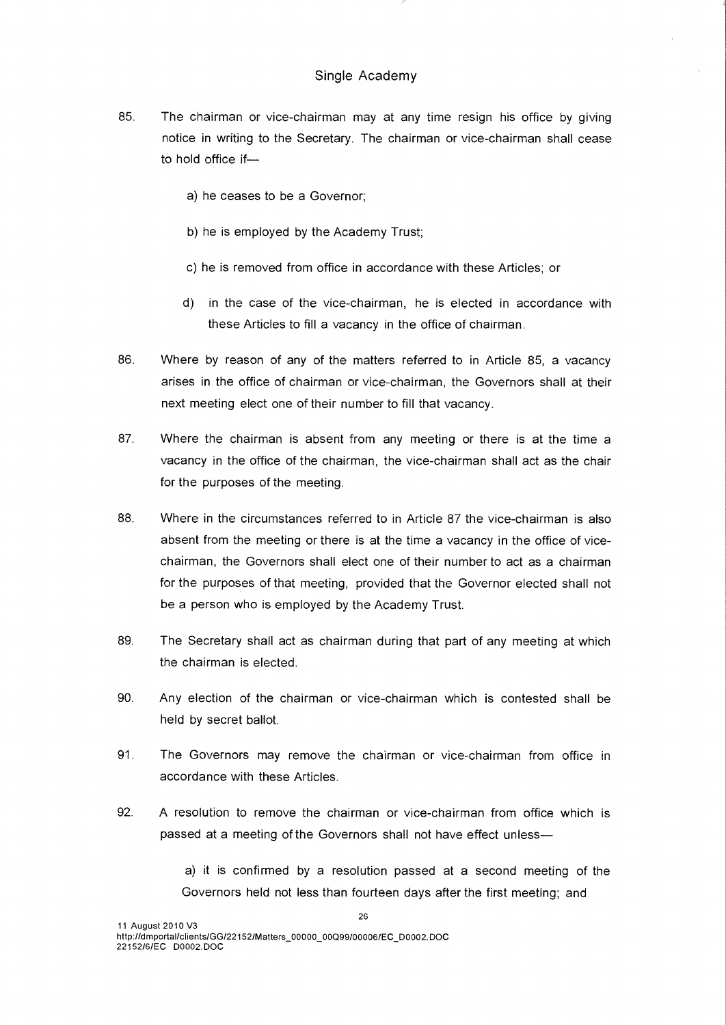- 85. The chairman or vice-chairman may at any time resign his office by giving notice in writing to the Secretary. The chairman or vice-chairman shall cease to hold office if
	- a) he ceases to be a Governor;
	- b) he is employed by the Academy Trust;
	- c) he is removed from office in accordance with these Articles; or
	- d) in the case of the vice-chairman, he is elected in accordance with these Articles to fill a vacancy in the office of chairman.
- 86. Where by reason of any of the matters referred to in Article 85, a vacancy arises in the office of chairman or vice-chairman, the Governors shall at their next meeting elect one of their number to fill that vacancy.
- 87. Where the chairman is absent from any meeting or there is at the time a vacancy in the office of the chairman, the vice-chairman shall act as the chair for the purposes of the meeting.
- 88. Where in the circumstances referred to in Article 87 the vice-chairman is also absent from the meeting or there is at the time a vacancy in the office of vicechairman, the Governors shall elect one of their number to act as a chairman for the purposes of that meeting, provided that the Governor elected shall not be a person who is employed by the Academy Trust.
- 89. The Secretary shall act as chairman during that part of any meeting at which the chairman is elected.
- 90. Any election of the chairman or vice-chairman which is contested shall be held by secret ballot.
- 91. The Governors may remove the chairman or vice-chairman from office in accordance with these Articles.
- 92. A resolution to remove the chairman or vice-chairman from office which is passed at a meeting of the Governors shall not have effect unless—

a) it is confirmed by a resolution passed at a second meeting of the Governors held not less than fourteen days after the first meeting; and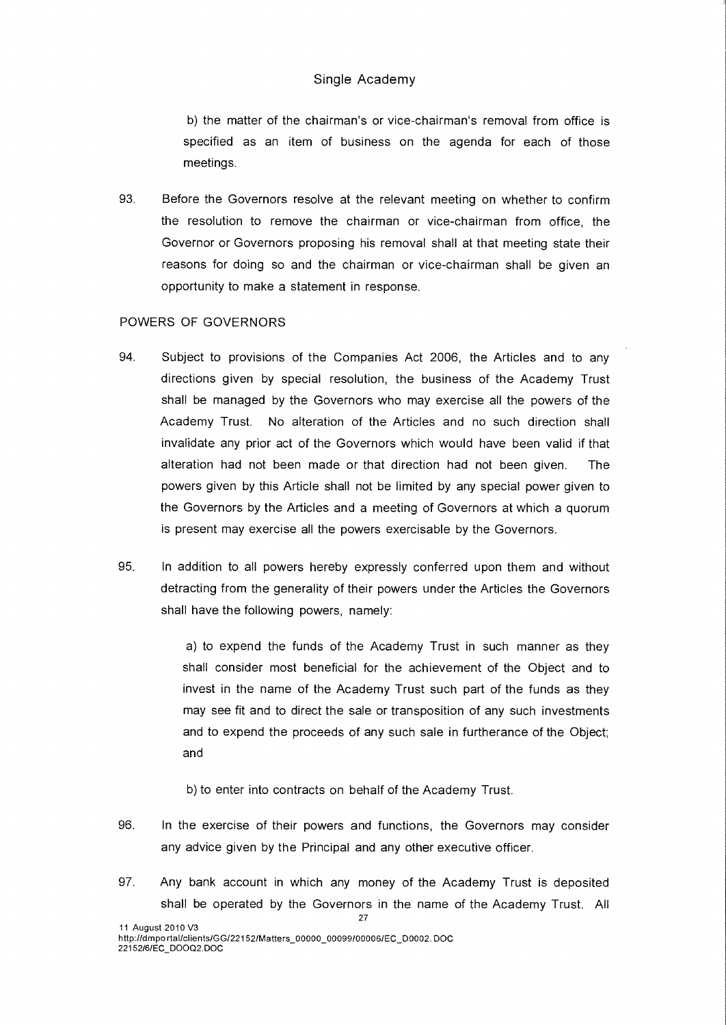b) the matter of the chairman's or vice-chairman's removal from office is specified as an item of business on the agenda for each of those meetings.

93. Before the Governors resolve at the relevant meeting on whether to confirm the resolution to remove the chairman or vice-chairman from office, the Governor or Governors proposing his removal shall at that meeting state their reasons for doing so and the chairman or vice-chairman shall be given an opportunity to make a statement in response.

# POWERS OF GOVERNORS

- 94. Subject to provisions of the Companies Act 2006, the Articles and to any directions given by special resolution, the business of the Academy Trust shall be managed by the Governors who may exercise all the powers of the Academy Trust. No alteration of the Articles and no such direction shall invalidate any prior act of the Governors which would have been valid if that alteration had not been made or that direction had not been given. The powers given by this Article shall not be limited by any special power given to the Governors by the Articles and a meeting of Governors at which a quorum is present may exercise all the powers exercisable by the Governors.
- 95. In addition to all powers hereby expressly conferred upon them and without detracting from the generality of their powers under the Articles the Governors shall have the following powers, namely:

a) to expend the funds of the Academy Trust in such manner as they shall consider most beneficial for the achievement of the Object and to invest in the name of the Academy Trust such part of the funds as they may see fit and to direct the sale or transposition of any such investments and to expend the proceeds of any such sale in furtherance of the Object; and

b) to enter into contracts on behalf of the Academy Trust.

- 96. In the exercise of their powers and functions, the Governors may consider any advice given by the Principal and any other executive officer.
- 97. Any bank account in which any money of the Academy Trust is deposited shall be operated by the Governors in the name of the Academy Trust. All 27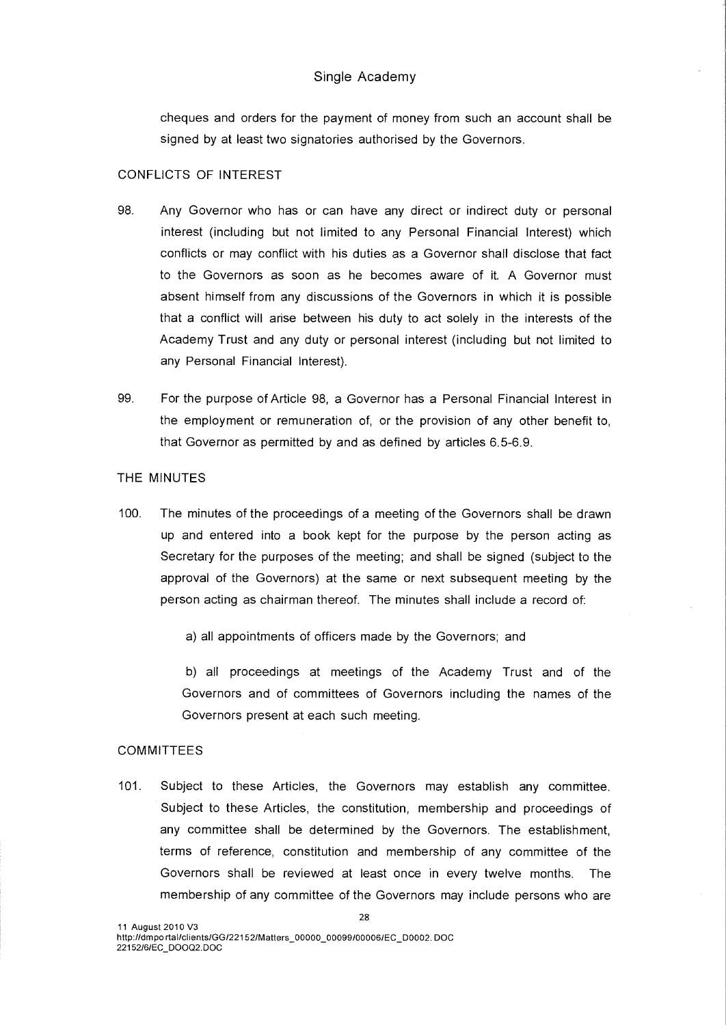cheques and orders for the payment of money from such an account shall be signed by at least two signatories authorised by the Governors.

#### CONFLICTS OF INTEREST

- 98. Any Governor who has or can have any direct or indirect duty or personal interest (including but not limited to any Personal Financial Interest) which conflicts or may conflict with his duties as a Governor shall disclose that fact to the Governors as soon as he becomes aware of it. A Governor must absent himself from any discussions of the Governors in which it is possible that a conflict will arise between his duty to act solely in the interests of the Academy Trust and any duty or personal interest (including but not limited to any Personal Financial Interest).
- 99. For the purpose of Article 98, a Governor has a Personal Financial Interest in the employment or remuneration of, or the provision of any other benefit to, that Governor as permitted by and as defined by articles 6.5-6.9.

# THE MINUTES

100. The minutes of the proceedings of a meeting of the Governors shall be drawn up and entered into a book kept for the purpose by the person acting as Secretary for the purposes of the meeting; and shall be signed (subject to the approval of the Governors) at the same or next subsequent meeting by the person acting as chairman thereof. The minutes shall include a record of:

a) all appointments of officers made by the Governors; and

b) all proceedings at meetings of the Academy Trust and of the Governors and of committees of Governors including the names of the Governors present at each such meeting.

#### **COMMITTEES**

101. Subject to these Articles, the Governors may establish any committee. Subject to these Articles, the constitution, membership and proceedings of any committee shall be determined by the Governors. The establishment, terms of reference, constitution and membership of any committee of the Governors shall be reviewed at least once in every twelve months. The membership of any committee of the Governors may include persons who are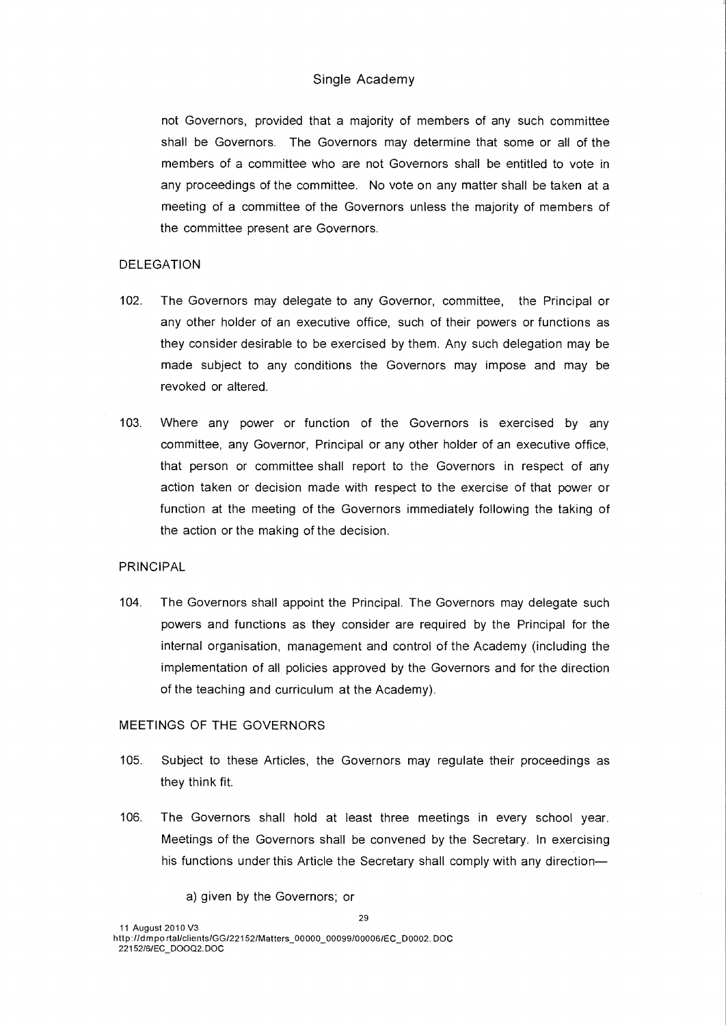not Governors, provided that a majority of members of any such committee shall be Governors. The Governors may determine that some or all of the members of a committee who are not Governors shall be entitled to vote in any proceedings of the committee. No vote on any matter shall be taken at a meeting of a committee of the Governors unless the majority of members of the committee present are Governors.

## DELEGATION

- 102. The Governors may delegate to any Governor, committee, the Principal or any other holder of an executive office, such of their powers or functions as they consider desirable to be exercised by them. Any such delegation may be made subject to any conditions the Governors may impose and may be revoked or altered.
- 103. Where any power or function of the Governors is exercised by any committee, any Governor, Principal or any other holder of an executive office, that person or committee shall report to the Governors in respect of any action taken or decision made with respect to the exercise of that power or function at the meeting of the Governors immediately following the taking of the action or the making of the decision.

# PRINCIPAL

104. The Governors shall appoint the Principal. The Governors may delegate such powers and functions as they consider are required by the Principal for the internal organisation, management and control of the Academy (including the implementation of all policies approved by the Governors and for the direction of the teaching and curriculum at the Academy).

#### MEETINGS OF THE GOVERNORS

- 105. Subject to these Articles, the Governors may regulate their proceedings as they think fit.
- 106. The Governors shall hold at least three meetings in every school year. Meetings of the Governors shall be convened by the Secretary. In exercising his functions under this Article the Secretary shall comply with any direction—

a) given by the Governors; or

11 August 2010 V3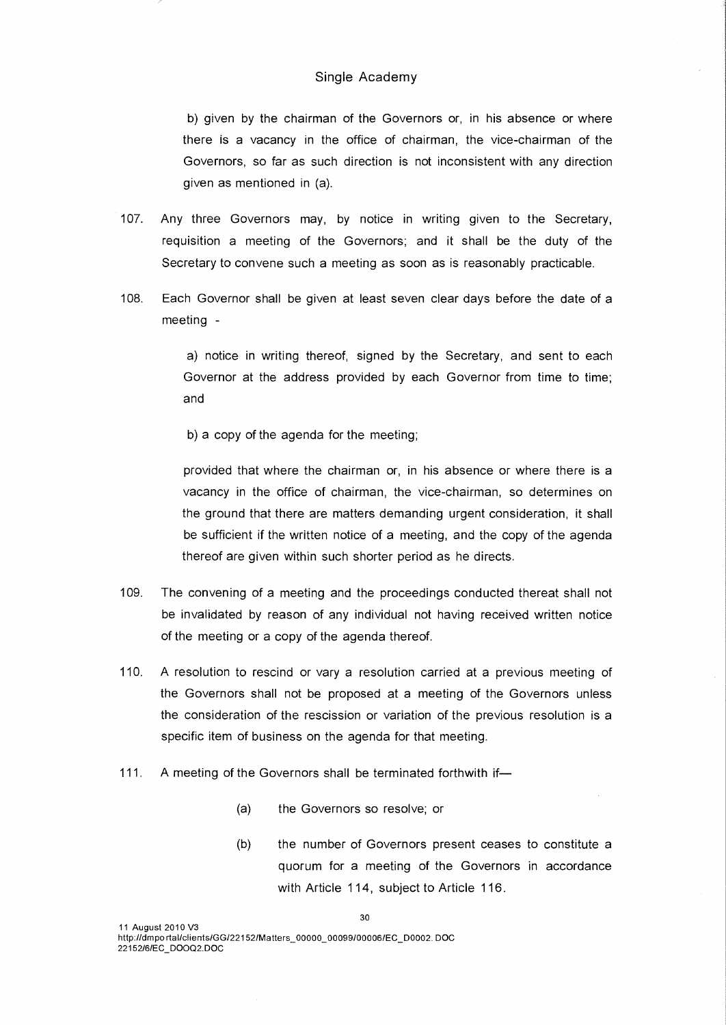b) given by the chairman of the Governors or, in his absence or where there is a vacancy in the office of chairman, the vice-chairman of the Governors, so far as such direction is not inconsistent with any direction given as mentioned in (a).

- 107. Any three Governors may, by notice in writing given to the Secretary, requisition a meeting of the Governors; and it shall be the duty of the Secretary to convene such a meeting as soon as is reasonably practicable.
- 108. Each Governor shall be given at least seven clear days before the date of a meeting -

a) notice in writing thereof, signed by the Secretary, and sent to each Governor at the address provided by each Governor from time to time; and

b) a copy of the agenda for the meeting;

provided that where the chairman or, in his absence or where there is a vacancy in the office of chairman, the vice-chairman, so determines on the ground that there are matters demanding urgent consideration, it shall be sufficient if the written notice of a meeting, and the copy of the agenda thereof are given within such shorter period as he directs.

- 109. The convening of a meeting and the proceedings conducted thereat shall not be invalidated by reason of any individual not having received written notice of the meeting or a copy of the agenda thereof.
- 110. A resolution to rescind or vary a resolution carried at a previous meeting of the Governors shall not be proposed at a meeting of the Governors unless the consideration of the rescission or variation of the previous resolution is a specific item of business on the agenda for that meeting.
- 111. A meeting of the Governors shall be terminated forthwith if—
	- (a) the Governors so resolve; or
	- (b) the number of Governors present ceases to constitute a quorum for a meeting of the Governors in accordance with Article 114, subject to Article 116.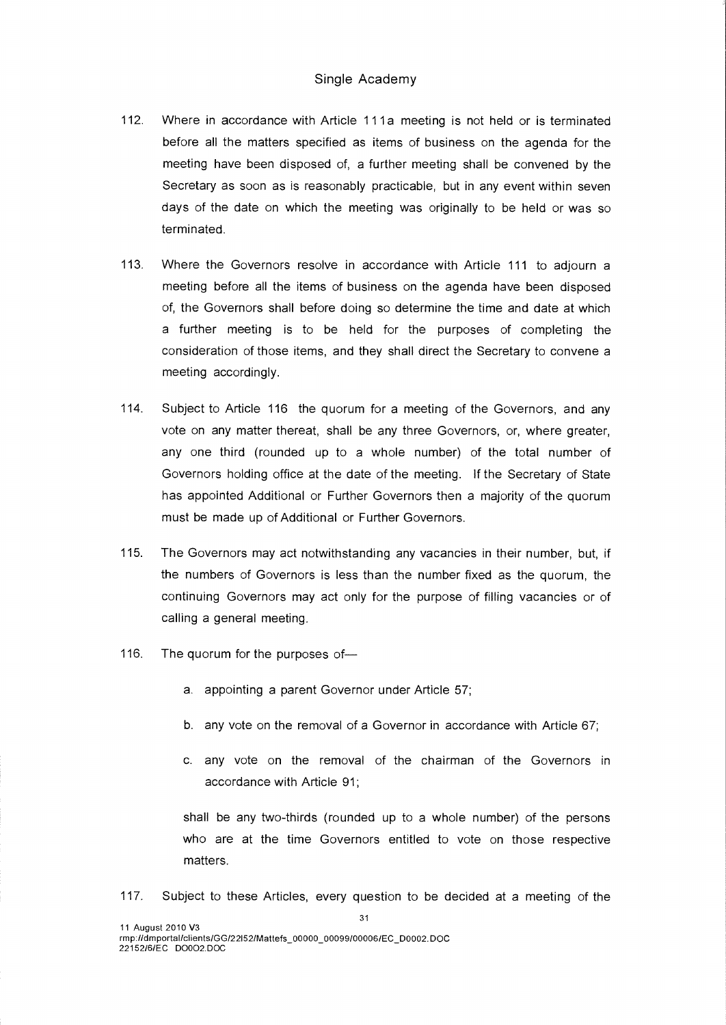- 112. Where in accordance with Article 111a meeting is not held or is terminated before all the matters specified as items of business on the agenda for the meeting have been disposed of, a further meeting shall be convened by the Secretary as soon as is reasonably practicable, but in any event within seven days of the date on which the meeting was originally to be held or was so terminated.
- 113. Where the Governors resolve in accordance with Article 111 to adjourn a meeting before all the items of business on the agenda have been disposed of, the Governors shall before doing so determine the time and date at which a further meeting is to be held for the purposes of completing the consideration of those items, and they shall direct the Secretary to convene a meeting accordingly.
- 114. Subject to Article 116 the quorum for a meeting of the Governors, and any vote on any matter thereat, shall be any three Governors, or, where greater, any one third (rounded up to a whole number) of the total number of Governors holding office at the date of the meeting. If the Secretary of State has appointed Additional or Further Governors then a majority of the quorum must be made up of Additional or Further Governors.
- 115. The Governors may act notwithstanding any vacancies in their number, but, if the numbers of Governors is less than the number fixed as the quorum, the continuing Governors may act only for the purpose of filling vacancies or of calling a general meeting.
- 116. The quorum for the purposes of
	- a. appointing a parent Governor under Article 57;
	- b. any vote on the removal of a Governor in accordance with Article 67;
	- c. any vote on the removal of the chairman of the Governors in accordance with Article 91;

shall be any two-thirds (rounded up to a whole number) of the persons who are at the time Governors entitled to vote on those respective matters.

117. Subject to these Articles, every question to be decided at a meeting of the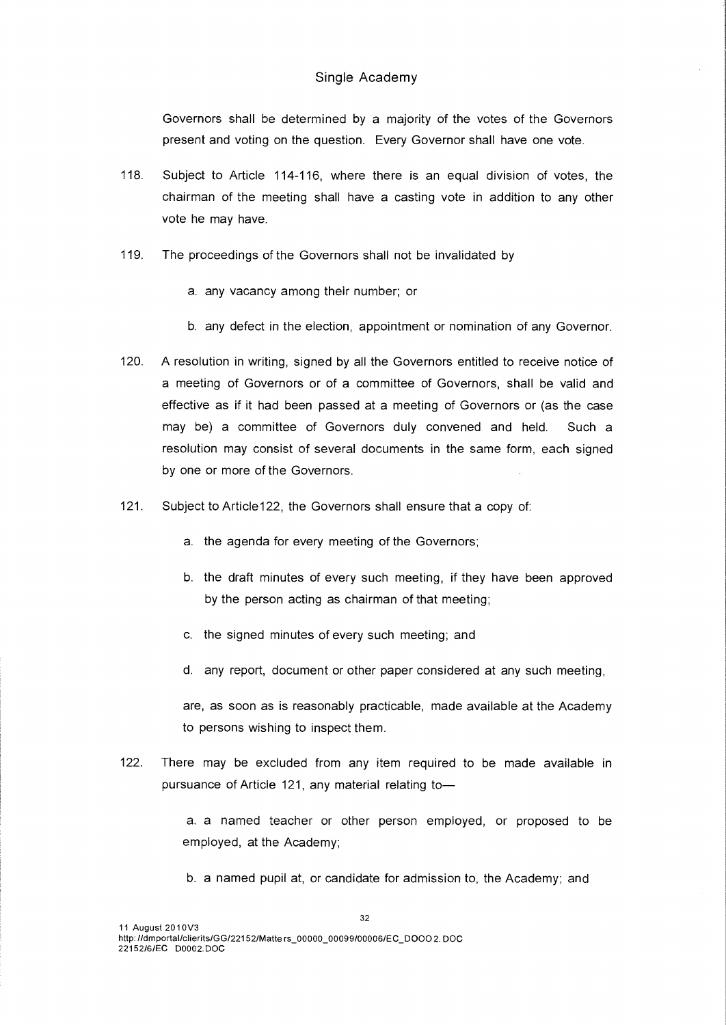Governors shall be determined by a majority of the votes of the Governors present and voting on the question. Every Governor shall have one vote.

- 118. Subject to Article 114-116, where there is an equal division of votes, the chairman of the meeting shall have a casting vote in addition to any other vote he may have.
- 119. The proceedings of the Governors shall not be invalidated by
	- a. any vacancy among their number; or
	- b. any defect in the election, appointment or nomination of any Governor.
- 120. A resolution in writing, signed by all the Governors entitled to receive notice of a meeting of Governors or of a committee of Governors, shall be valid and effective as if it had been passed at a meeting of Governors or (as the case may be) a committee of Governors duly convened and held. Such a resolution may consist of several documents in the same form, each signed by one or more of the Governors.
- 121. Subject to Article122, the Governors shall ensure that a copy of:
	- a. the agenda for every meeting of the Governors;
	- b. the draft minutes of every such meeting, if they have been approved by the person acting as chairman of that meeting;
	- c. the signed minutes of every such meeting; and
	- d. any report, document or other paper considered at any such meeting,

are, as soon as is reasonably practicable, made available at the Academy to persons wishing to inspect them.

122. There may be excluded from any item required to be made available in pursuance of Article 121, any material relating to—

> a. a named teacher or other person employed, or proposed to be employed, at the Academy;

b. a named pupil at, or candidate for admission to, the Academy; and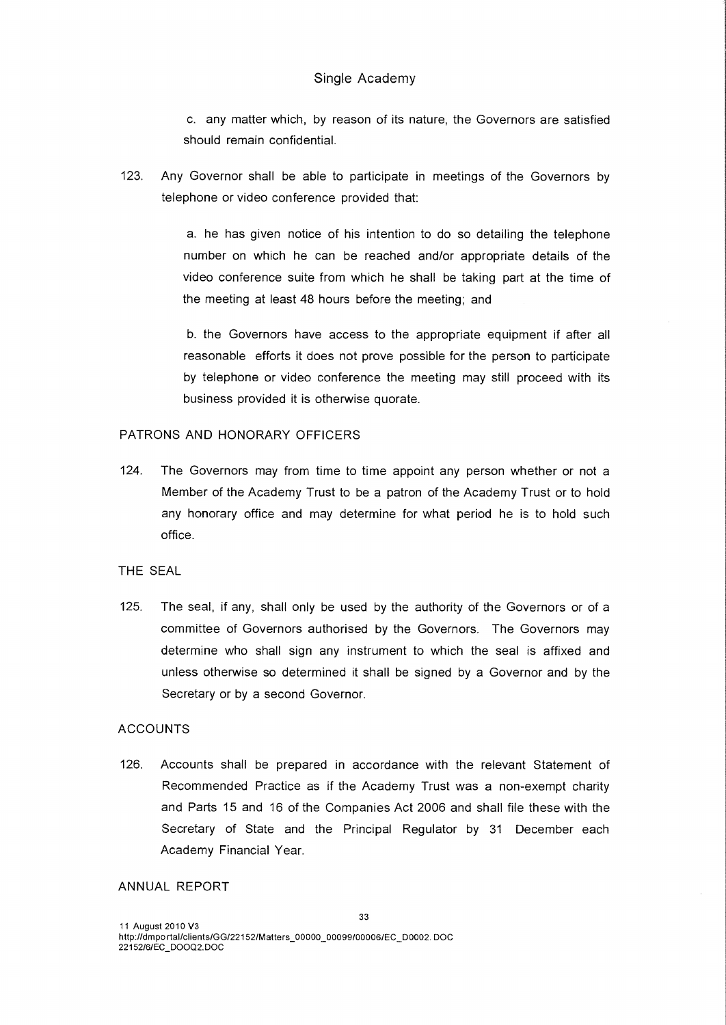c. any matter which, by reason of its nature, the Governors are satisfied should remain confidential.

123. Any Governor shall be able to participate in meetings of the Governors by telephone or video conference provided that:

> a. he has given notice of his intention to do so detailing the telephone number on which he can be reached and/or appropriate details of the video conference suite from which he shall be taking part at the time of the meeting at least 48 hours before the meeting; and

> b. the Governors have access to the appropriate equipment if after all reasonable efforts it does not prove possible for the person to participate by telephone or video conference the meeting may still proceed with its business provided it is otherwise quorate.

#### PATRONS AND HONORARY OFFICERS

124. The Governors may from time to time appoint any person whether or not a Member of the Academy Trust to be a patron of the Academy Trust or to hold any honorary office and may determine for what period he is to hold such office.

#### THE SEAL

125. The seal, if any, shall only be used by the authority of the Governors or of a committee of Governors authorised by the Governors. The Governors may determine who shall sign any instrument to which the seal is affixed and unless otherwise so determined it shall be signed by a Governor and by the Secretary or by a second Governor.

#### ACCOUNTS

126. Accounts shall be prepared in accordance with the relevant Statement of Recommended Practice as if the Academy Trust was a non-exempt charity and Parts 15 and 16 of the Companies Act 2006 and shall file these with the Secretary of State and the Principal Regulator by 31 December each Academy Financial Year.

#### ANNUAL REPORT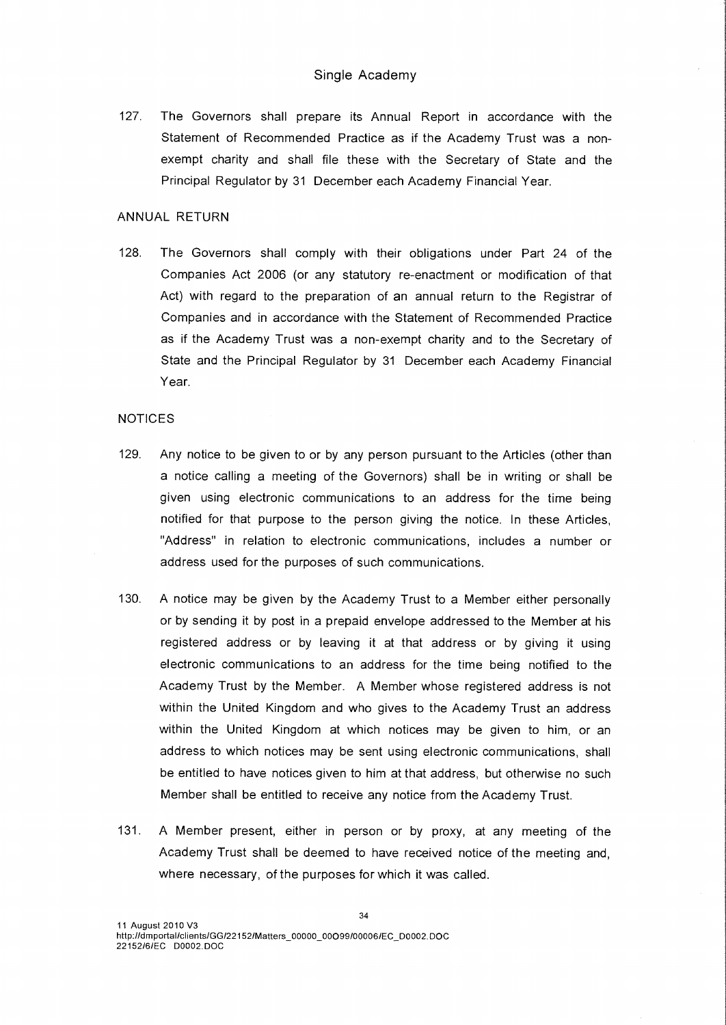127. The Governors shall prepare its Annual Report in accordance with the Statement of Recommended Practice as if the Academy Trust was a nonexempt charity and shall file these with the Secretary of State and the Principal Regulator by 31 December each Academy Financial Year.

## ANNUAL RETURN

128. The Governors shall comply with their obligations under Part 24 of the Companies Act 2006 (or any statutory re-enactment or modification of that Act) with regard to the preparation of an annual return to the Registrar of Companies and in accordance with the Statement of Recommended Practice as if the Academy Trust was a non-exempt charity and to the Secretary of State and the Principal Regulator by 31 December each Academy Financial Year.

## NOTICES

- 129. Any notice to be given to or by any person pursuant to the Articles (other than a notice calling a meeting of the Governors) shall be in writing or shall be given using electronic communications to an address for the time being notified for that purpose to the person giving the notice. In these Articles, "Address" in relation to electronic communications, includes a number or address used for the purposes of such communications.
- 130. A notice may be given by the Academy Trust to a Member either personally or by sending it by post in a prepaid envelope addressed to the Member at his registered address or by leaving it at that address or by giving it using electronic communications to an address for the time being notified to the Academy Trust by the Member. A Member whose registered address is not within the United Kingdom and who gives to the Academy Trust an address within the United Kingdom at which notices may be given to him, or an address to which notices may be sent using electronic communications, shall be entitled to have notices given to him at that address, but otherwise no such Member shall be entitled to receive any notice from the Academy Trust.
- 131. A Member present, either in person or by proxy, at any meeting of the Academy Trust shall be deemed to have received notice of the meeting and, where necessary, of the purposes for which it was called.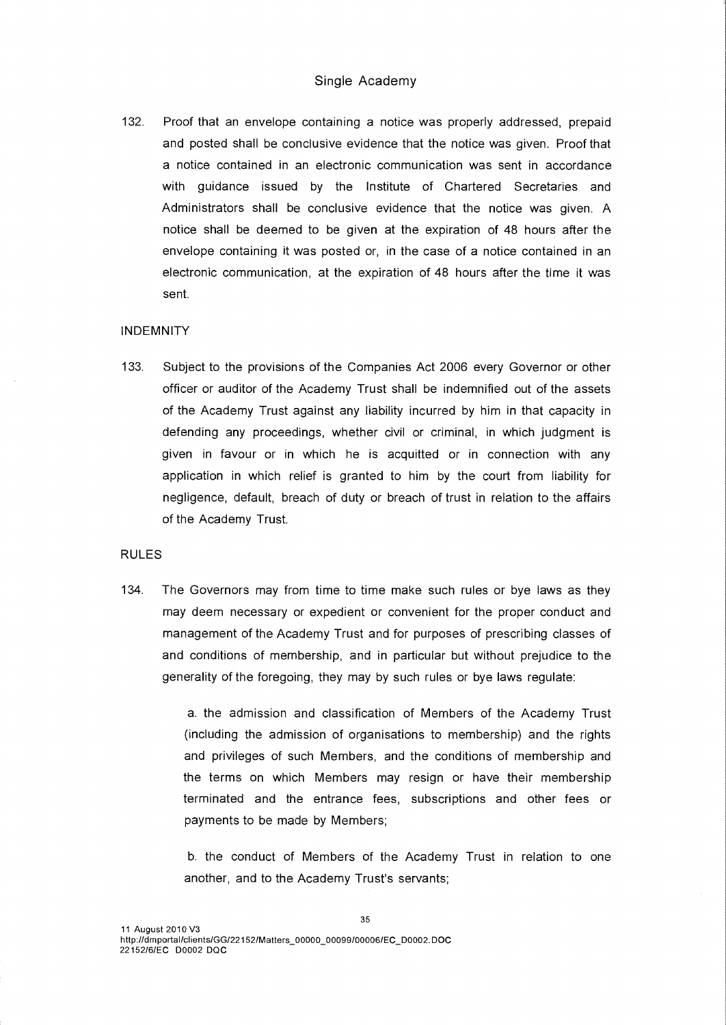132. Proof that an envelope containing a notice was properly addressed, prepaid and posted shall be conclusive evidence that the notice was given. Proof that a notice contained in an electronic communication was sent in accordance with guidance issued by the Institute of Chartered Secretaries and Administrators shall be conclusive evidence that the notice was given. A notice shall be deemed to be given at the expiration of 48 hours after the envelope containing it was posted or, in the case of a notice contained in an electronic communication, at the expiration of 48 hours after the time it was sent.

#### INDEMNITY

133. Subject to the provisions of the Companies Act 2006 every Governor or other officer or auditor of the Academy Trust shall be indemnified out of the assets of the Academy Trust against any liability incurred by him in that capacity in defending any proceedings, whether civil or criminal, in which judgment is given in favour or in which he is acquitted or in connection with any application in which relief is granted to him by the court from liability for negligence, default, breach of duty or breach of trust in relation to the affairs of the Academy Trust.

#### RULES

134. The Governors may from time to time make such rules or bye laws as they may deem necessary or expedient or convenient for the proper conduct and management of the Academy Trust and for purposes of prescribing classes of and conditions of membership, and in particular but without prejudice to the generality of the foregoing, they may by such rules or bye laws regulate:

> a. the admission and classification of Members of the Academy Trust (including the admission of organisations to membership) and the rights and privileges of such Members, and the conditions of membership and the terms on which Members may resign or have their membership terminated and the entrance fees, subscriptions and other fees or payments to be made by Members;

> b. the conduct of Members of the Academy Trust in relation to one another, and to the Academy Trust's servants;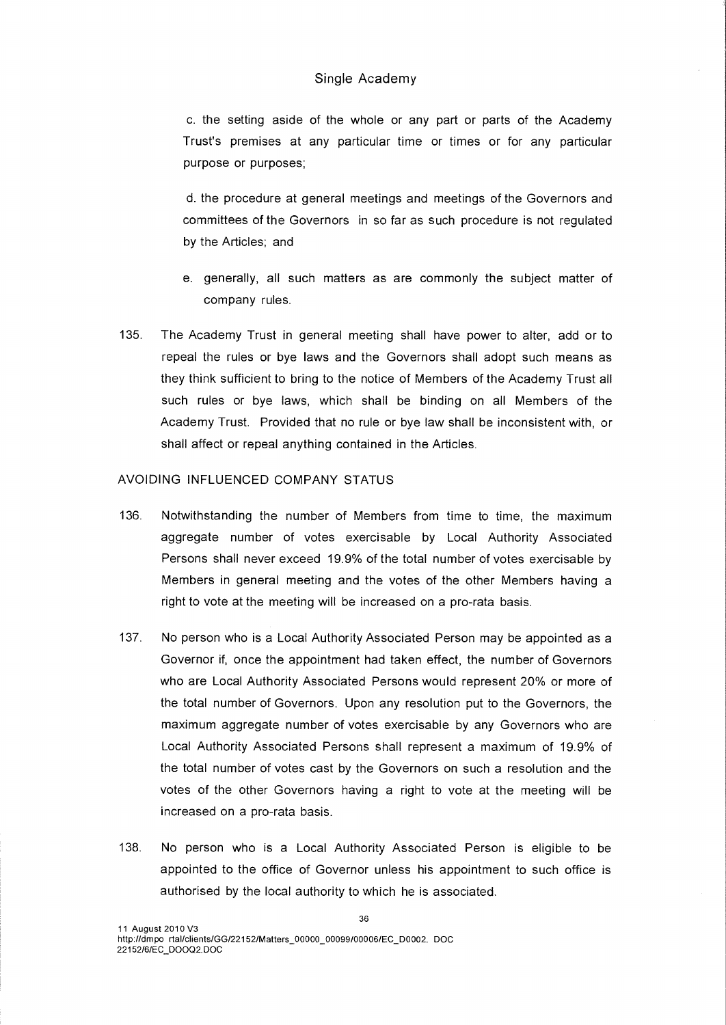c. the setting aside of the whole or any part or parts of the Academy Trust's premises at any particular time or times or for any particular purpose or purposes;

d. the procedure at general meetings and meetings of the Governors and committees of the Governors in so far as such procedure is not regulated by the Articles; and

- e. generally, all such matters as are commonly the subject matter of company rules.
- 135. The Academy Trust in general meeting shall have power to alter, add or to repeal the rules or bye laws and the Governors shall adopt such means as they think sufficient to bring to the notice of Members of the Academy Trust all such rules or bye laws, which shall be binding on all Members of the Academy Trust. Provided that no rule or bye law shall be inconsistent with, or shall affect or repeal anything contained in the Articles.

## AVOIDING INFLUENCED COMPANY STATUS

- 136. Notwithstanding the number of Members from time to time, the maximum aggregate number of votes exercisable by Local Authority Associated Persons shall never exceed 19.9% of the total number of votes exercisable by Members in general meeting and the votes of the other Members having a right to vote at the meeting will be increased on a pro-rata basis.
- 137. No person who is a Local Authority Associated Person may be appointed as a Governor if, once the appointment had taken effect, the number of Governors who are Local Authority Associated Persons would represent 20% or more of the total number of Governors. Upon any resolution put to the Governors, the maximum aggregate number of votes exercisable by any Governors who are Local Authority Associated Persons shall represent a maximum of 19.9% of the total number of votes cast by the Governors on such a resolution and the votes of the other Governors having a right to vote at the meeting will be increased on a pro-rata basis.
- 138. No person who is a Local Authority Associated Person is eligible to be appointed to the office of Governor unless his appointment to such office is authorised by the local authority to which he is associated.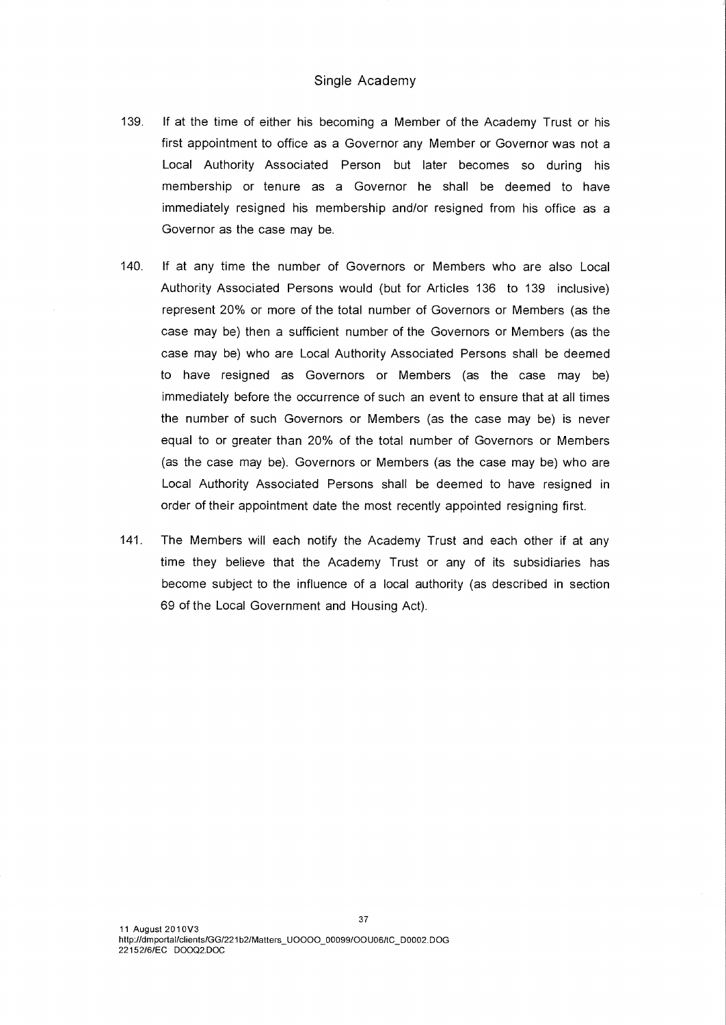- 139. If at the time of either his becoming a Member of the Academy Trust or his first appointment to office as a Governor any Member or Governor was not a Local Authority Associated Person but later becomes so during his membership or tenure as a Governor he shall be deemed to have immediately resigned his membership and/or resigned from his office as a Governor as the case may be.
- 140. If at any time the number of Governors or Members who are also Local Authority Associated Persons would (but for Articles 136 to 139 inclusive) represent 20% or more of the total number of Governors or Members (as the case may be) then a sufficient number of the Governors or Members (as the case may be) who are Local Authority Associated Persons shall be deemed to have resigned as Governors or Members (as the case may be) immediately before the occurrence of such an event to ensure that at all times the number of such Governors or Members (as the case may be) is never equal to or greater than 20% of the total number of Governors or Members (as the case may be). Governors or Members (as the case may be) who are Local Authority Associated Persons shall be deemed to have resigned in order of their appointment date the most recently appointed resigning first.
- 141. The Members will each notify the Academy Trust and each other if at any time they believe that the Academy Trust or any of its subsidiaries has become subject to the influence of a local authority (as described in section 69 of the Local Government and Housing Act).